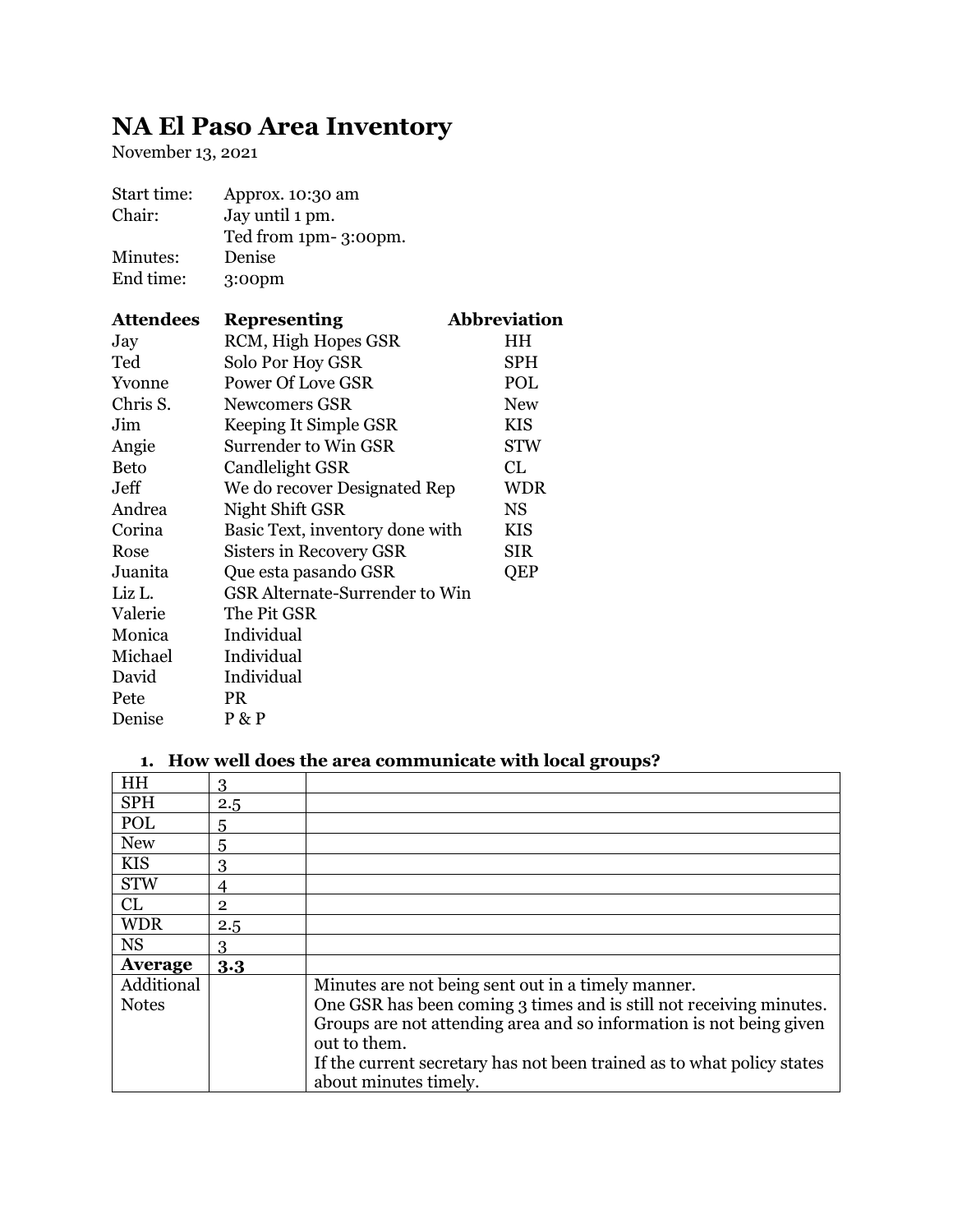# **NA El Paso Area Inventory**

November 13, 2021

| Approx. 10:30 am                      |                      |
|---------------------------------------|----------------------|
| Jay until 1 pm.                       |                      |
|                                       |                      |
| Denise                                |                      |
| 3:00pm                                |                      |
| <b>Representing</b>                   | <b>Abbreviation</b>  |
| RCM, High Hopes GSR                   | HH                   |
| Solo Por Hoy GSR                      | SPH                  |
| <b>Power Of Love GSR</b>              | POL                  |
| <b>Newcomers GSR</b>                  | <b>New</b>           |
| Keeping It Simple GSR                 | <b>KIS</b>           |
| Surrender to Win GSR                  | <b>STW</b>           |
| Candlelight GSR                       | CL                   |
| We do recover Designated Rep          | <b>WDR</b>           |
| Night Shift GSR                       | <b>NS</b>            |
| Basic Text, inventory done with       | <b>KIS</b>           |
| Sisters in Recovery GSR               | <b>SIR</b>           |
| Que esta pasando GSR                  | QEP                  |
| <b>GSR</b> Alternate-Surrender to Win |                      |
| The Pit GSR                           |                      |
| Individual                            |                      |
| Individual                            |                      |
| Individual                            |                      |
| <b>PR</b>                             |                      |
| P & P                                 |                      |
|                                       | Ted from 1pm-3:00pm. |

## **1. How well does the area communicate with local groups?**

| HH           | 3            |                                                                        |
|--------------|--------------|------------------------------------------------------------------------|
| <b>SPH</b>   | 2.5          |                                                                        |
| POL          | 5            |                                                                        |
| <b>New</b>   | 5            |                                                                        |
| <b>KIS</b>   | 3            |                                                                        |
| <b>STW</b>   | 4            |                                                                        |
| CL           | $\mathbf{2}$ |                                                                        |
| <b>WDR</b>   | 2.5          |                                                                        |
| <b>NS</b>    | 3            |                                                                        |
| Average      | 3.3          |                                                                        |
| Additional   |              | Minutes are not being sent out in a timely manner.                     |
| <b>Notes</b> |              | One GSR has been coming 3 times and is still not receiving minutes.    |
|              |              | Groups are not attending area and so information is not being given    |
|              |              | out to them.                                                           |
|              |              | If the current secretary has not been trained as to what policy states |
|              |              | about minutes timely.                                                  |
|              |              |                                                                        |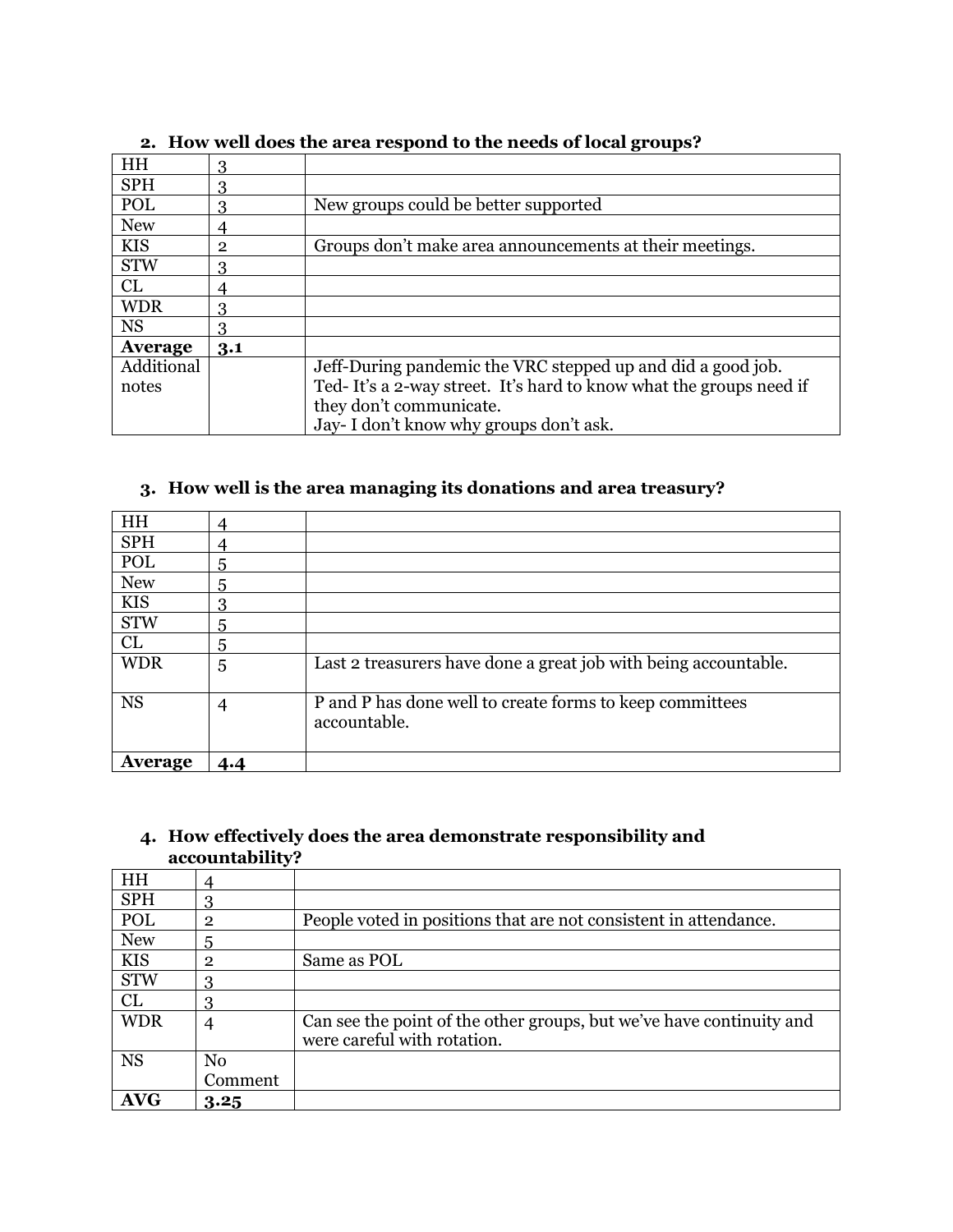| HH             | 3   |                                                                    |
|----------------|-----|--------------------------------------------------------------------|
| <b>SPH</b>     | 3   |                                                                    |
| POL            | 3   | New groups could be better supported                               |
| <b>New</b>     | 4   |                                                                    |
| <b>KIS</b>     | 2   | Groups don't make area announcements at their meetings.            |
| <b>STW</b>     | 3   |                                                                    |
| CL             | 4   |                                                                    |
| <b>WDR</b>     | 3   |                                                                    |
| <b>NS</b>      | 3   |                                                                    |
| <b>Average</b> | 3.1 |                                                                    |
| Additional     |     | Jeff-During pandemic the VRC stepped up and did a good job.        |
| notes          |     | Ted-It's a 2-way street. It's hard to know what the groups need if |
|                |     | they don't communicate.                                            |
|                |     | Jay-I don't know why groups don't ask.                             |

# **2. How well does the area respond to the needs of local groups?**

#### **3. How well is the area managing its donations and area treasury?**

| HH             | 4              |                                                                          |
|----------------|----------------|--------------------------------------------------------------------------|
| <b>SPH</b>     | 4              |                                                                          |
| POL            | 5              |                                                                          |
| <b>New</b>     | 5              |                                                                          |
| <b>KIS</b>     | 3              |                                                                          |
| <b>STW</b>     | 5              |                                                                          |
| CL             | 5              |                                                                          |
| <b>WDR</b>     | 5              | Last 2 treasurers have done a great job with being accountable.          |
| <b>NS</b>      | $\overline{4}$ | P and P has done well to create forms to keep committees<br>accountable. |
| <b>Average</b> | 4.4            |                                                                          |

#### **4. How effectively does the area demonstrate responsibility and accountability?**

|            | $\checkmark$   |                                                                      |
|------------|----------------|----------------------------------------------------------------------|
| HH         |                |                                                                      |
| <b>SPH</b> | 3              |                                                                      |
| POL        | $\overline{2}$ | People voted in positions that are not consistent in attendance.     |
| <b>New</b> | 5              |                                                                      |
| <b>KIS</b> | $\overline{2}$ | Same as POL                                                          |
| <b>STW</b> | 3              |                                                                      |
| CL         | 3              |                                                                      |
| <b>WDR</b> | 4              | Can see the point of the other groups, but we've have continuity and |
|            |                | were careful with rotation.                                          |
| <b>NS</b>  | N <sub>0</sub> |                                                                      |
|            | Comment        |                                                                      |
| AVG        | 3.25           |                                                                      |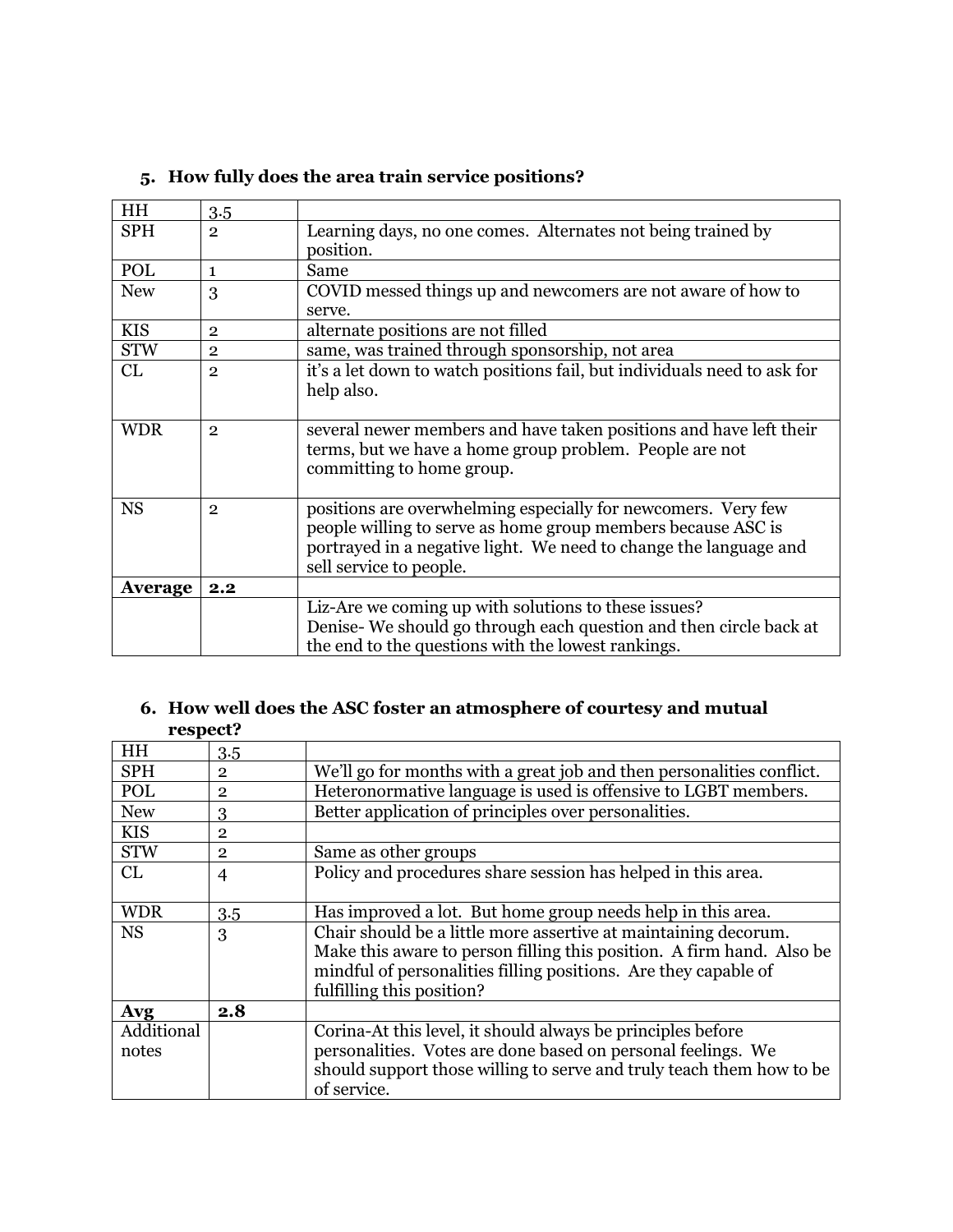| HH             | 3.5            |                                                                          |
|----------------|----------------|--------------------------------------------------------------------------|
| <b>SPH</b>     | $\overline{2}$ | Learning days, no one comes. Alternates not being trained by             |
|                |                | position.                                                                |
| POL            | $\mathbf{1}$   | Same                                                                     |
| <b>New</b>     | 3              | COVID messed things up and newcomers are not aware of how to             |
|                |                | serve.                                                                   |
| <b>KIS</b>     | $\overline{2}$ | alternate positions are not filled                                       |
| <b>STW</b>     | $\overline{2}$ | same, was trained through sponsorship, not area                          |
| CL             | $\overline{2}$ | it's a let down to watch positions fail, but individuals need to ask for |
|                |                | help also.                                                               |
|                |                |                                                                          |
| <b>WDR</b>     | $\overline{2}$ | several newer members and have taken positions and have left their       |
|                |                | terms, but we have a home group problem. People are not                  |
|                |                | committing to home group.                                                |
|                |                |                                                                          |
| <b>NS</b>      | $\overline{2}$ | positions are overwhelming especially for newcomers. Very few            |
|                |                | people willing to serve as home group members because ASC is             |
|                |                | portrayed in a negative light. We need to change the language and        |
|                |                | sell service to people.                                                  |
| <b>Average</b> | 2.2            |                                                                          |
|                |                | Liz-Are we coming up with solutions to these issues?                     |
|                |                | Denise-We should go through each question and then circle back at        |
|                |                | the end to the questions with the lowest rankings.                       |

# **5. How fully does the area train service positions?**

### **6. How well does the ASC foster an atmosphere of courtesy and mutual respect?**

| HH         | 3.5            |                                                                       |
|------------|----------------|-----------------------------------------------------------------------|
| <b>SPH</b> | $\overline{2}$ | We'll go for months with a great job and then personalities conflict. |
| POL        | $\mathbf{2}$   | Heteronormative language is used is offensive to LGBT members.        |
| <b>New</b> | 3              | Better application of principles over personalities.                  |
| <b>KIS</b> | $\overline{2}$ |                                                                       |
| <b>STW</b> | $\overline{2}$ | Same as other groups                                                  |
| CL         | $\overline{4}$ | Policy and procedures share session has helped in this area.          |
|            |                |                                                                       |
| <b>WDR</b> | 3.5            | Has improved a lot. But home group needs help in this area.           |
| <b>NS</b>  | 3              | Chair should be a little more assertive at maintaining decorum.       |
|            |                | Make this aware to person filling this position. A firm hand. Also be |
|            |                | mindful of personalities filling positions. Are they capable of       |
|            |                | fulfilling this position?                                             |
| Avg        | 2.8            |                                                                       |
| Additional |                | Corina-At this level, it should always be principles before           |
| notes      |                | personalities. Votes are done based on personal feelings. We          |
|            |                | should support those willing to serve and truly teach them how to be  |
|            |                | of service.                                                           |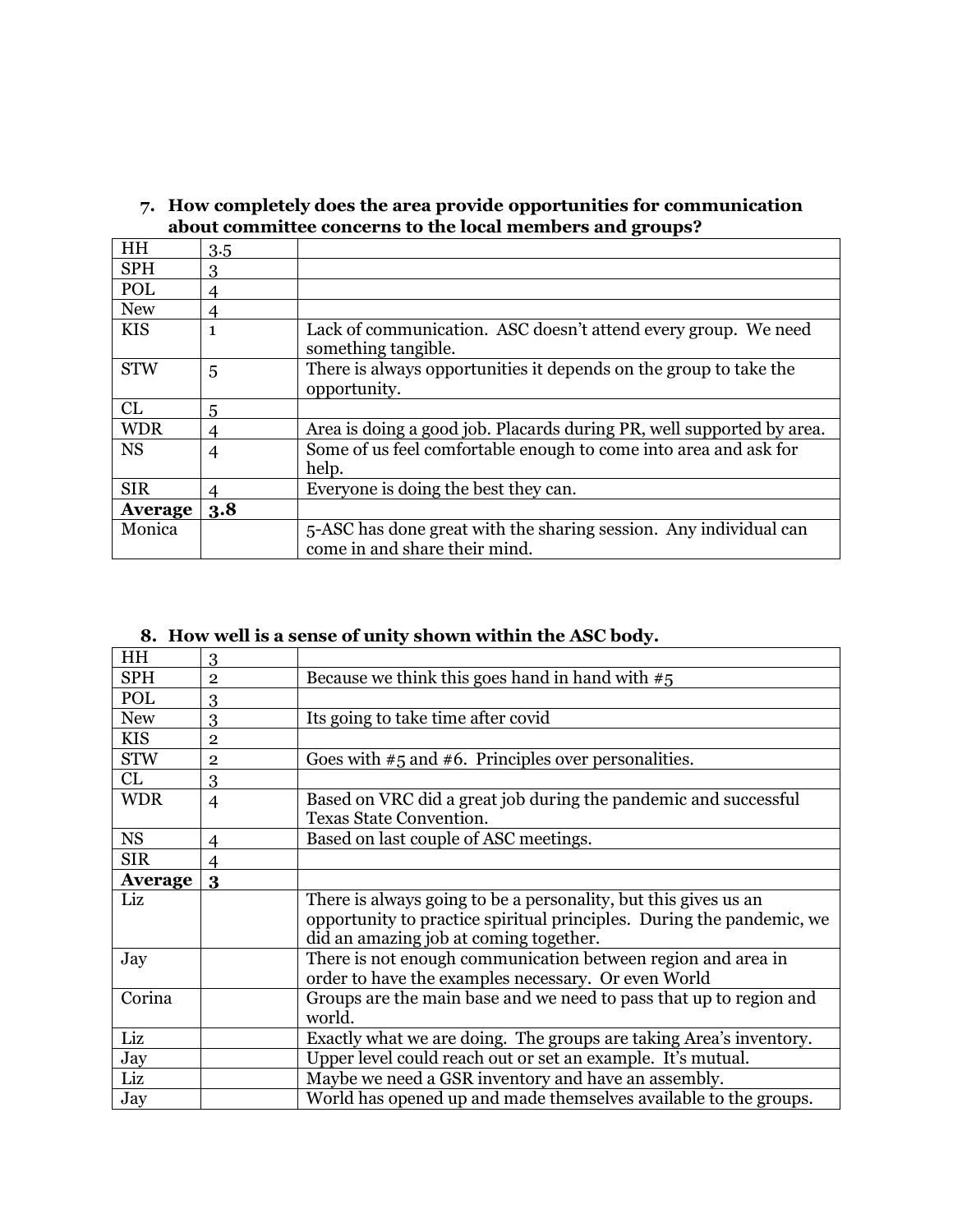| <b>HH</b>  | 3.5 |                                                                                                    |
|------------|-----|----------------------------------------------------------------------------------------------------|
| <b>SPH</b> | 3   |                                                                                                    |
| POL        | 4   |                                                                                                    |
| <b>New</b> | 4   |                                                                                                    |
| <b>KIS</b> | 1   | Lack of communication. ASC doesn't attend every group. We need<br>something tangible.              |
| <b>STW</b> | 5   | There is always opportunities it depends on the group to take the<br>opportunity.                  |
| CL         | 5   |                                                                                                    |
| <b>WDR</b> | 4   | Area is doing a good job. Placards during PR, well supported by area.                              |
| <b>NS</b>  | 4   | Some of us feel comfortable enough to come into area and ask for<br>help.                          |
| <b>SIR</b> | 4   | Everyone is doing the best they can.                                                               |
| Average    | 3.8 |                                                                                                    |
| Monica     |     | 5-ASC has done great with the sharing session. Any individual can<br>come in and share their mind. |

#### **7. How completely does the area provide opportunities for communication about committee concerns to the local members and groups?**

# **8. How well is a sense of unity shown within the ASC body.**

| <b>HH</b>      | 3              |                                                                       |
|----------------|----------------|-----------------------------------------------------------------------|
| <b>SPH</b>     | $\overline{2}$ | Because we think this goes hand in hand with $#5$                     |
| POL            | 3              |                                                                       |
| <b>New</b>     | 3              | Its going to take time after covid                                    |
| <b>KIS</b>     | $\mathbf{2}$   |                                                                       |
| <b>STW</b>     | $\overline{2}$ | Goes with $#5$ and $#6$ . Principles over personalities.              |
| CL             | 3              |                                                                       |
| <b>WDR</b>     | 4              | Based on VRC did a great job during the pandemic and successful       |
|                |                | <b>Texas State Convention.</b>                                        |
| <b>NS</b>      | $\overline{4}$ | Based on last couple of ASC meetings.                                 |
| <b>SIR</b>     | $\overline{4}$ |                                                                       |
| <b>Average</b> | 3              |                                                                       |
| Liz            |                | There is always going to be a personality, but this gives us an       |
|                |                | opportunity to practice spiritual principles. During the pandemic, we |
|                |                | did an amazing job at coming together.                                |
| Jay            |                | There is not enough communication between region and area in          |
|                |                | order to have the examples necessary. Or even World                   |
| Corina         |                | Groups are the main base and we need to pass that up to region and    |
|                |                | world.                                                                |
| Liz            |                | Exactly what we are doing. The groups are taking Area's inventory.    |
| Jay            |                | Upper level could reach out or set an example. It's mutual.           |
| Liz            |                | Maybe we need a GSR inventory and have an assembly.                   |
| Jay            |                | World has opened up and made themselves available to the groups.      |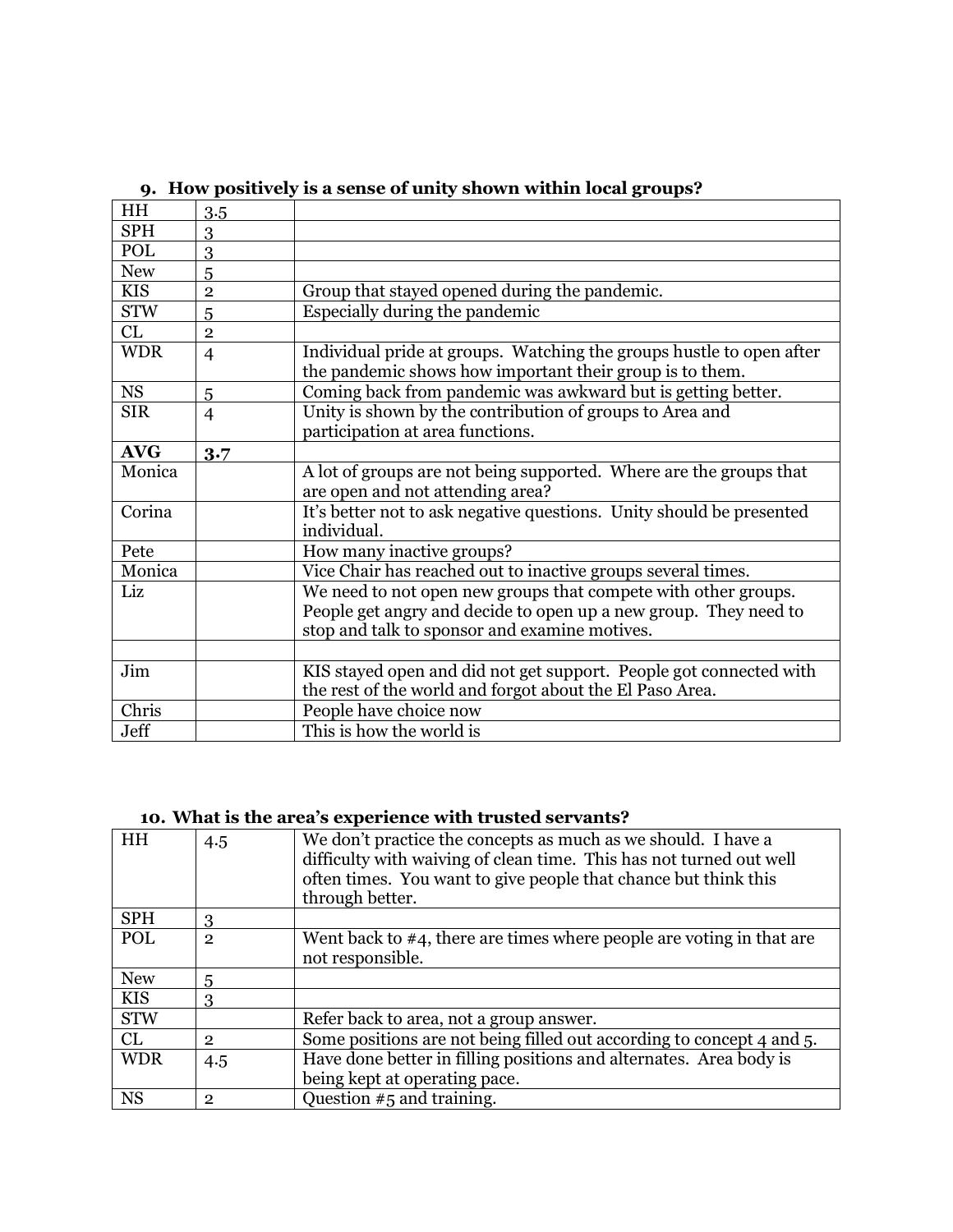| <b>HH</b>  | 3.5                     |                                                                                                                                  |
|------------|-------------------------|----------------------------------------------------------------------------------------------------------------------------------|
| <b>SPH</b> | 3                       |                                                                                                                                  |
| POL        | 3                       |                                                                                                                                  |
| <b>New</b> | 5                       |                                                                                                                                  |
| <b>KIS</b> | $\overline{\mathbf{2}}$ | Group that stayed opened during the pandemic.                                                                                    |
| <b>STW</b> | 5                       | Especially during the pandemic                                                                                                   |
| CL         | $\overline{2}$          |                                                                                                                                  |
| <b>WDR</b> | $\overline{4}$          | Individual pride at groups. Watching the groups hustle to open after<br>the pandemic shows how important their group is to them. |
| <b>NS</b>  | 5                       | Coming back from pandemic was awkward but is getting better.                                                                     |
| <b>SIR</b> | $\overline{4}$          | Unity is shown by the contribution of groups to Area and                                                                         |
|            |                         | participation at area functions.                                                                                                 |
| <b>AVG</b> | 3.7                     |                                                                                                                                  |
| Monica     |                         | A lot of groups are not being supported. Where are the groups that                                                               |
|            |                         | are open and not attending area?                                                                                                 |
| Corina     |                         | It's better not to ask negative questions. Unity should be presented<br>individual.                                              |
| Pete       |                         | How many inactive groups?                                                                                                        |
| Monica     |                         | Vice Chair has reached out to inactive groups several times.                                                                     |
| Liz        |                         | We need to not open new groups that compete with other groups.                                                                   |
|            |                         | People get angry and decide to open up a new group. They need to                                                                 |
|            |                         | stop and talk to sponsor and examine motives.                                                                                    |
|            |                         |                                                                                                                                  |
| Jim        |                         | KIS stayed open and did not get support. People got connected with                                                               |
|            |                         | the rest of the world and forgot about the El Paso Area.                                                                         |
| Chris      |                         | People have choice now                                                                                                           |
| Jeff       |                         | This is how the world is                                                                                                         |

## **9. How positively is a sense of unity shown within local groups?**

# **10. What is the area's experience with trusted servants?**

| HH         | 4.5            | We don't practice the concepts as much as we should. I have a<br>difficulty with waiving of clean time. This has not turned out well<br>often times. You want to give people that chance but think this<br>through better. |
|------------|----------------|----------------------------------------------------------------------------------------------------------------------------------------------------------------------------------------------------------------------------|
| <b>SPH</b> | 3              |                                                                                                                                                                                                                            |
| POL        | $\mathbf{2}$   | Went back to $#4$ , there are times where people are voting in that are<br>not responsible.                                                                                                                                |
| <b>New</b> | 5              |                                                                                                                                                                                                                            |
| <b>KIS</b> | 3              |                                                                                                                                                                                                                            |
| <b>STW</b> |                | Refer back to area, not a group answer.                                                                                                                                                                                    |
| CL         | $\overline{2}$ | Some positions are not being filled out according to concept 4 and 5.                                                                                                                                                      |
| <b>WDR</b> | 4.5            | Have done better in filling positions and alternates. Area body is                                                                                                                                                         |
|            |                | being kept at operating pace.                                                                                                                                                                                              |
| <b>NS</b>  | $\overline{2}$ | Question $#5$ and training.                                                                                                                                                                                                |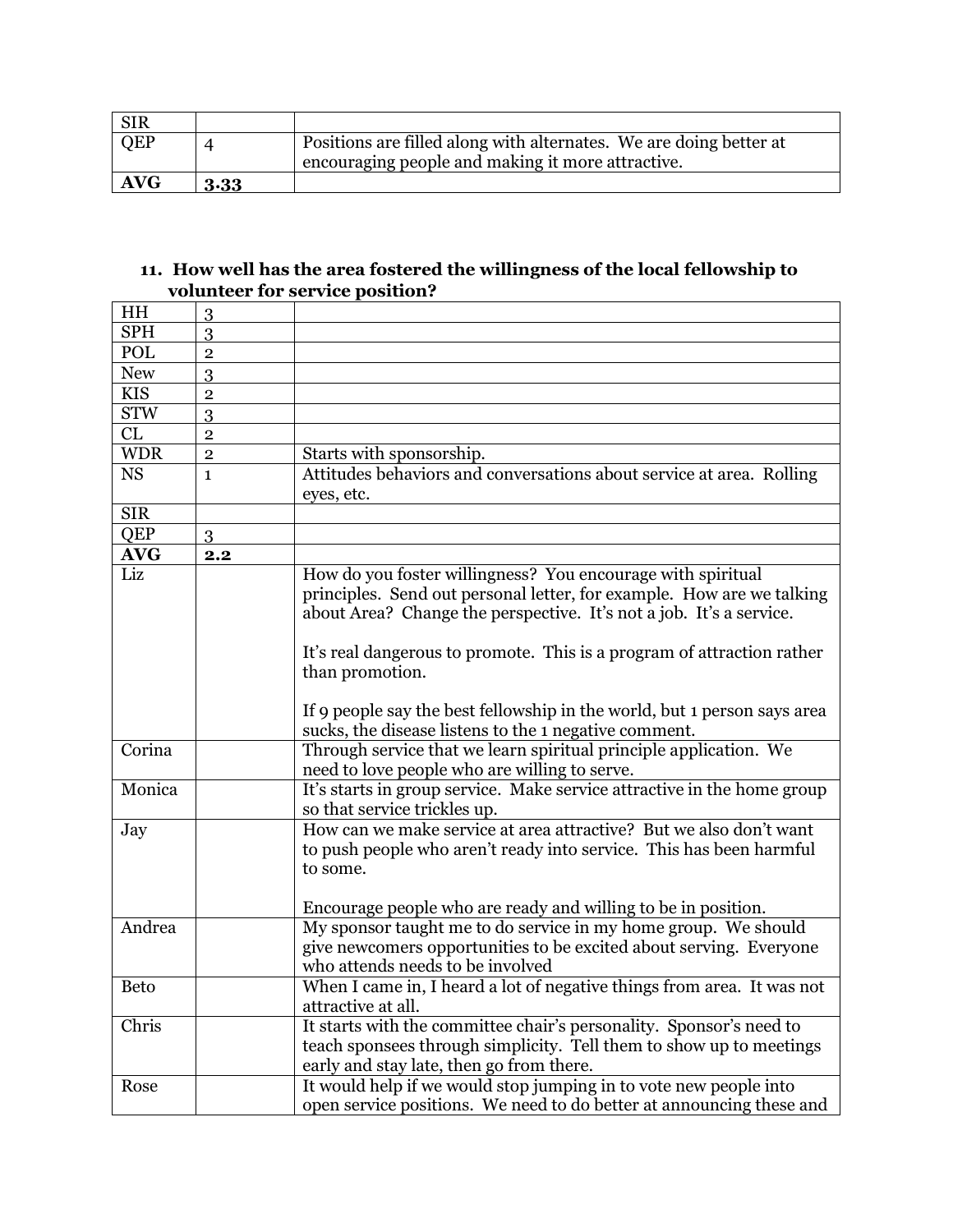| <b>SIR</b> |          |                                                                    |
|------------|----------|--------------------------------------------------------------------|
| <b>QEP</b> |          | Positions are filled along with alternates. We are doing better at |
|            |          | encouraging people and making it more attractive.                  |
| <b>AVG</b> | $3 - 33$ |                                                                    |

#### **11. How well has the area fostered the willingness of the local fellowship to volunteer for service position?**

| HH          | 3              |                                                                          |
|-------------|----------------|--------------------------------------------------------------------------|
| <b>SPH</b>  | 3              |                                                                          |
| POL         | $\overline{2}$ |                                                                          |
| <b>New</b>  | 3              |                                                                          |
| <b>KIS</b>  | $\overline{2}$ |                                                                          |
| <b>STW</b>  | 3              |                                                                          |
| CL          | $\overline{2}$ |                                                                          |
| <b>WDR</b>  | $\overline{2}$ | Starts with sponsorship.                                                 |
| <b>NS</b>   | $\mathbf{1}$   | Attitudes behaviors and conversations about service at area. Rolling     |
|             |                | eyes, etc.                                                               |
| <b>SIR</b>  |                |                                                                          |
| QEP         | 3              |                                                                          |
| <b>AVG</b>  | 2.2            |                                                                          |
| Liz         |                | How do you foster willingness? You encourage with spiritual              |
|             |                | principles. Send out personal letter, for example. How are we talking    |
|             |                | about Area? Change the perspective. It's not a job. It's a service.      |
|             |                |                                                                          |
|             |                | It's real dangerous to promote. This is a program of attraction rather   |
|             |                | than promotion.                                                          |
|             |                |                                                                          |
|             |                | If 9 people say the best fellowship in the world, but 1 person says area |
|             |                | sucks, the disease listens to the 1 negative comment.                    |
| Corina      |                | Through service that we learn spiritual principle application. We        |
|             |                | need to love people who are willing to serve.                            |
| Monica      |                | It's starts in group service. Make service attractive in the home group  |
|             |                | so that service trickles up.                                             |
| Jay         |                | How can we make service at area attractive? But we also don't want       |
|             |                | to push people who aren't ready into service. This has been harmful      |
|             |                | to some.                                                                 |
|             |                |                                                                          |
|             |                | Encourage people who are ready and willing to be in position.            |
| Andrea      |                | My sponsor taught me to do service in my home group. We should           |
|             |                | give newcomers opportunities to be excited about serving. Everyone       |
|             |                | who attends needs to be involved                                         |
| <b>Beto</b> |                | When I came in, I heard a lot of negative things from area. It was not   |
|             |                | attractive at all.                                                       |
| Chris       |                | It starts with the committee chair's personality. Sponsor's need to      |
|             |                | teach sponsees through simplicity. Tell them to show up to meetings      |
|             |                | early and stay late, then go from there.                                 |
| Rose        |                | It would help if we would stop jumping in to vote new people into        |
|             |                | open service positions. We need to do better at announcing these and     |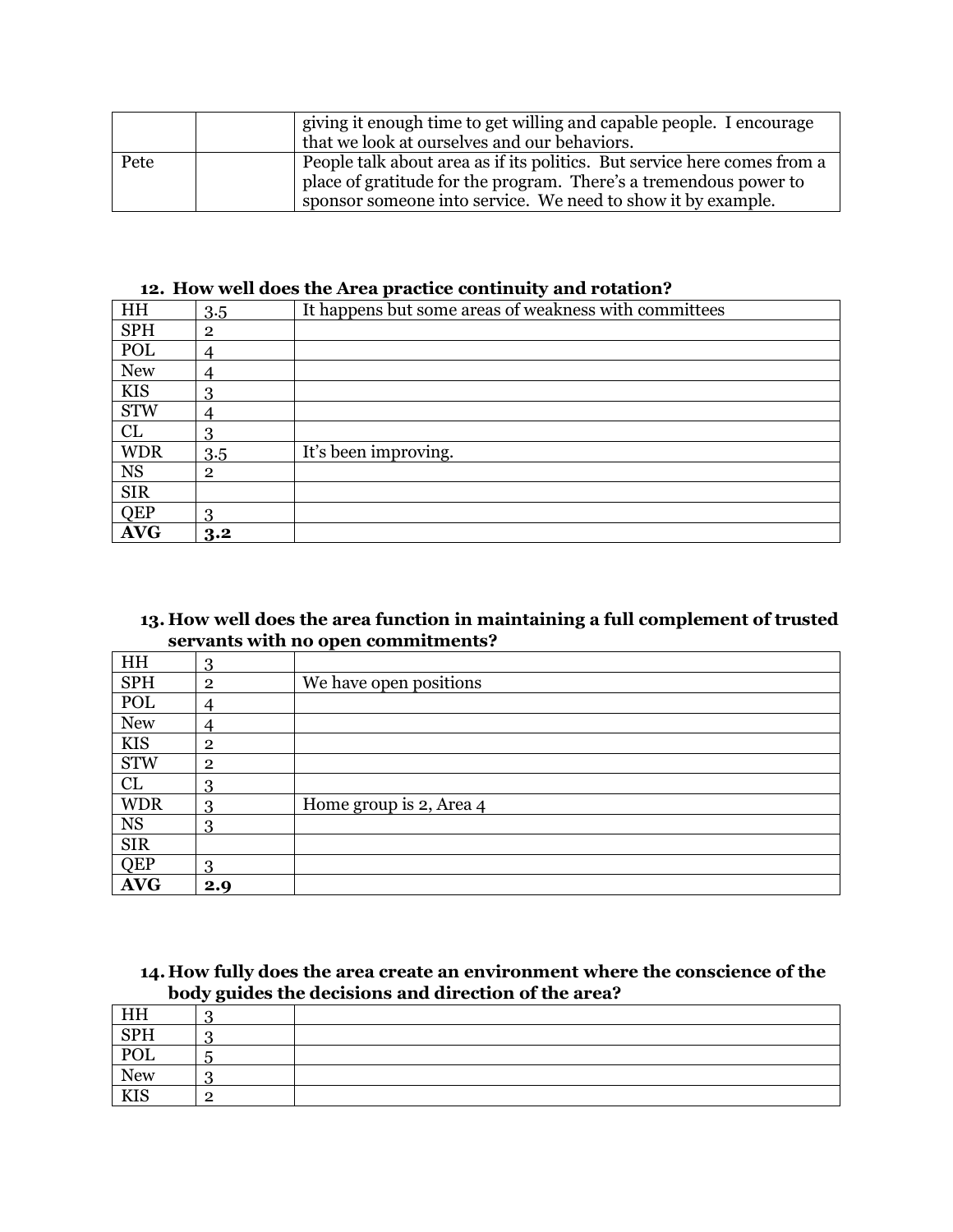|      | giving it enough time to get willing and capable people. I encourage<br>that we look at ourselves and our behaviors.                                                                                          |
|------|---------------------------------------------------------------------------------------------------------------------------------------------------------------------------------------------------------------|
| Pete | People talk about area as if its politics. But service here comes from a<br>place of gratitude for the program. There's a tremendous power to<br>sponsor someone into service. We need to show it by example. |

#### **12. How well does the Area practice continuity and rotation?**

| HH          | 3.5            | It happens but some areas of weakness with committees |
|-------------|----------------|-------------------------------------------------------|
| SPH         | $\overline{2}$ |                                                       |
| POL         | 4              |                                                       |
| <b>New</b>  | 4              |                                                       |
| <b>KIS</b>  | 3              |                                                       |
| <b>STW</b>  |                |                                                       |
| CL          | 3              |                                                       |
| <b>WDR</b>  | 3.5            | It's been improving.                                  |
| $_{\rm NS}$ | $\overline{2}$ |                                                       |
| <b>SIR</b>  |                |                                                       |
| <b>QEP</b>  | 3              |                                                       |
| <b>AVG</b>  | 3.2            |                                                       |

### **13. How well does the area function in maintaining a full complement of trusted servants with no open commitments?**

| HH         | 3              |                         |
|------------|----------------|-------------------------|
| <b>SPH</b> | $\overline{2}$ | We have open positions  |
| POL        | 4              |                         |
| <b>New</b> | 4              |                         |
| <b>KIS</b> | $\overline{2}$ |                         |
| <b>STW</b> | $\overline{2}$ |                         |
| CL         | 3              |                         |
| <b>WDR</b> | 3              | Home group is 2, Area 4 |
| <b>NS</b>  | 3              |                         |
| <b>SIR</b> |                |                         |
| QEP        | 3              |                         |
| <b>AVG</b> | 2.9            |                         |

#### **14. How fully does the area create an environment where the conscience of the body guides the decisions and direction of the area?**

| HH         | ື |  |
|------------|---|--|
| SPH        |   |  |
| POL        |   |  |
| <b>New</b> |   |  |
| <b>KIS</b> |   |  |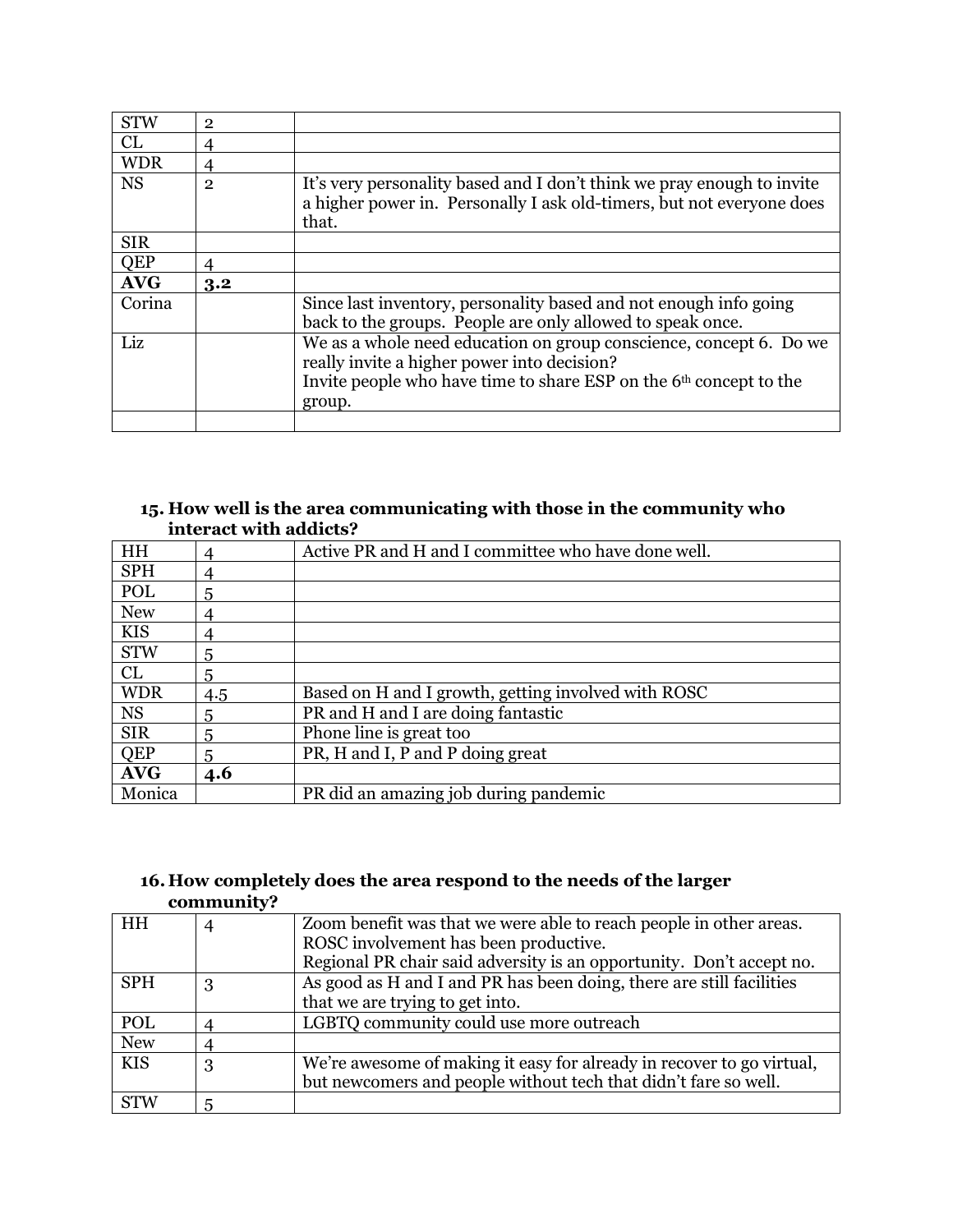| <b>STW</b> | $\overline{2}$ |                                                                                                                                                                                                               |
|------------|----------------|---------------------------------------------------------------------------------------------------------------------------------------------------------------------------------------------------------------|
| CL         |                |                                                                                                                                                                                                               |
| <b>WDR</b> | 4              |                                                                                                                                                                                                               |
| <b>NS</b>  | $\overline{2}$ | It's very personality based and I don't think we pray enough to invite<br>a higher power in. Personally I ask old-timers, but not everyone does<br>that.                                                      |
| <b>SIR</b> |                |                                                                                                                                                                                                               |
| <b>QEP</b> | 4              |                                                                                                                                                                                                               |
|            |                |                                                                                                                                                                                                               |
| <b>AVG</b> | 3.2            |                                                                                                                                                                                                               |
| Corina     |                | Since last inventory, personality based and not enough info going<br>back to the groups. People are only allowed to speak once.                                                                               |
| Liz        |                | We as a whole need education on group conscience, concept 6. Do we<br>really invite a higher power into decision?<br>Invite people who have time to share ESP on the 6 <sup>th</sup> concept to the<br>group. |

## **15. How well is the area communicating with those in the community who interact with addicts?**

| HH         |     | Active PR and H and I committee who have done well. |
|------------|-----|-----------------------------------------------------|
| <b>SPH</b> | 4   |                                                     |
| POL        | 5   |                                                     |
| <b>New</b> | 4   |                                                     |
| <b>KIS</b> | 4   |                                                     |
| <b>STW</b> | 5   |                                                     |
| CL         | 5   |                                                     |
| <b>WDR</b> | 4.5 | Based on H and I growth, getting involved with ROSC |
| <b>NS</b>  | 5   | PR and H and I are doing fantastic                  |
| <b>SIR</b> | 5   | Phone line is great too                             |
| <b>QEP</b> | 5   | PR, H and I, P and P doing great                    |
| <b>AVG</b> | 4.6 |                                                     |
| Monica     |     | PR did an amazing job during pandemic               |

# **16. How completely does the area respond to the needs of the larger community?**

| HH         |   | Zoom benefit was that we were able to reach people in other areas.    |
|------------|---|-----------------------------------------------------------------------|
|            |   | ROSC involvement has been productive.                                 |
|            |   | Regional PR chair said adversity is an opportunity. Don't accept no.  |
| <b>SPH</b> | 3 | As good as H and I and PR has been doing, there are still facilities  |
|            |   | that we are trying to get into.                                       |
| POL        |   | LGBTQ community could use more outreach                               |
| <b>New</b> |   |                                                                       |
| <b>KIS</b> | 3 | We're awesome of making it easy for already in recover to go virtual, |
|            |   | but newcomers and people without tech that didn't fare so well.       |
| <b>STW</b> |   |                                                                       |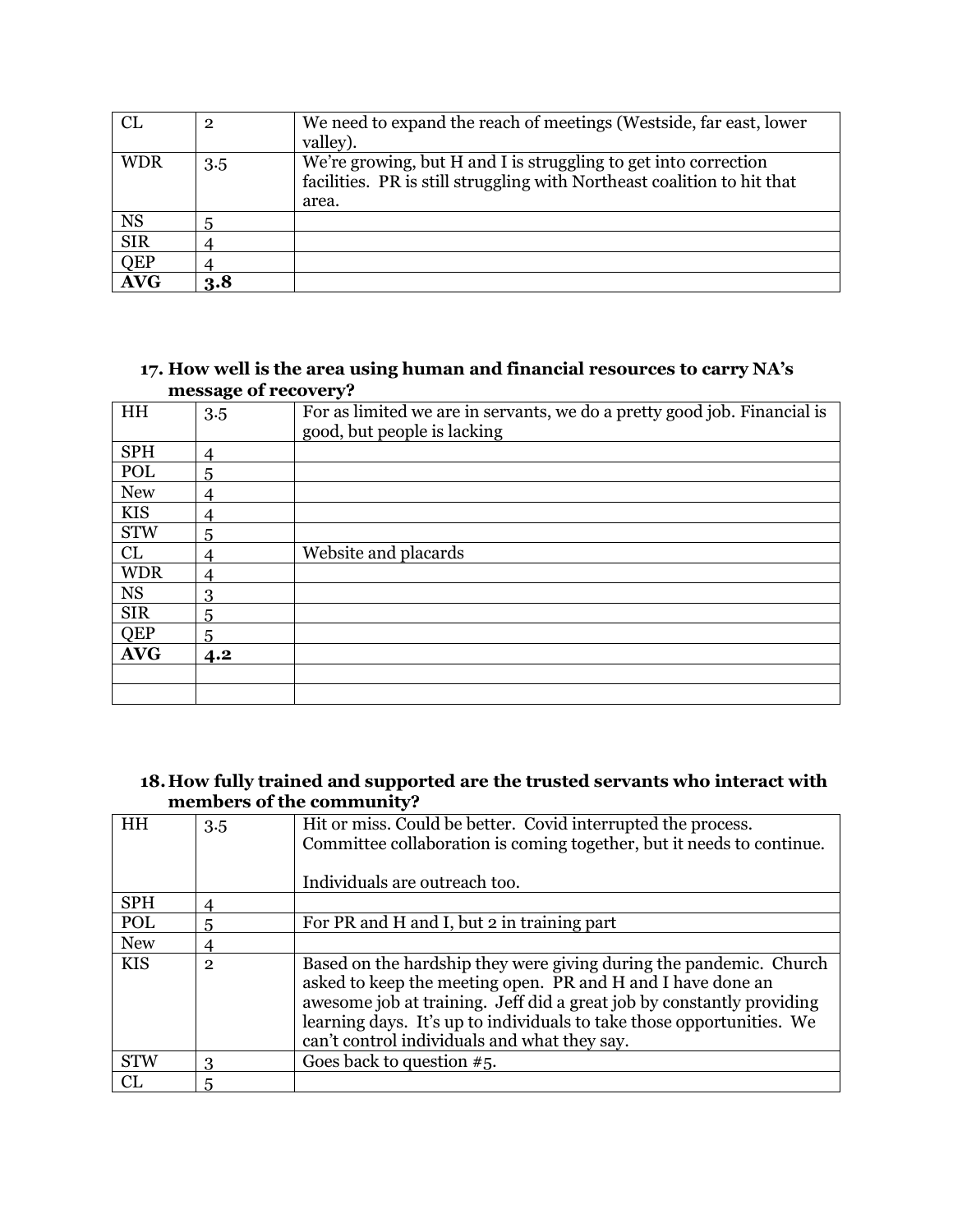| <b>CL</b>  | $\overline{2}$ | We need to expand the reach of meetings (Westside, far east, lower<br>valley).                                                                      |
|------------|----------------|-----------------------------------------------------------------------------------------------------------------------------------------------------|
| <b>WDR</b> | 3.5            | We're growing, but H and I is struggling to get into correction<br>facilities. PR is still struggling with Northeast coalition to hit that<br>area. |
| <b>NS</b>  |                |                                                                                                                                                     |
| <b>SIR</b> |                |                                                                                                                                                     |
| QEP        |                |                                                                                                                                                     |
| <b>AVG</b> | 3.8            |                                                                                                                                                     |

#### **17. How well is the area using human and financial resources to carry NA's message of recovery?**

|            | - - - - - <del>o</del> |                                                                                                         |
|------------|------------------------|---------------------------------------------------------------------------------------------------------|
| HH         | 3.5                    | For as limited we are in servants, we do a pretty good job. Financial is<br>good, but people is lacking |
|            |                        |                                                                                                         |
| <b>SPH</b> | 4                      |                                                                                                         |
| POL        | 5                      |                                                                                                         |
| <b>New</b> | 4                      |                                                                                                         |
| <b>KIS</b> | 4                      |                                                                                                         |
| <b>STW</b> | 5                      |                                                                                                         |
| CL         | 4                      | Website and placards                                                                                    |
| <b>WDR</b> | 4                      |                                                                                                         |
| <b>NS</b>  | 3                      |                                                                                                         |
| <b>SIR</b> | 5                      |                                                                                                         |
| <b>QEP</b> | 5                      |                                                                                                         |
| <b>AVG</b> | 4.2                    |                                                                                                         |
|            |                        |                                                                                                         |
|            |                        |                                                                                                         |

#### **18.How fully trained and supported are the trusted servants who interact with members of the community?**

| HH         | 3.5          | Hit or miss. Could be better. Covid interrupted the process.<br>Committee collaboration is coming together, but it needs to continue.                                                                                                                                                                                               |
|------------|--------------|-------------------------------------------------------------------------------------------------------------------------------------------------------------------------------------------------------------------------------------------------------------------------------------------------------------------------------------|
|            |              | Individuals are outreach too.                                                                                                                                                                                                                                                                                                       |
| <b>SPH</b> | 4            |                                                                                                                                                                                                                                                                                                                                     |
| POL        | 5            | For PR and H and I, but 2 in training part                                                                                                                                                                                                                                                                                          |
| <b>New</b> |              |                                                                                                                                                                                                                                                                                                                                     |
| <b>KIS</b> | $\mathbf{2}$ | Based on the hardship they were giving during the pandemic. Church<br>asked to keep the meeting open. PR and H and I have done an<br>awesome job at training. Jeff did a great job by constantly providing<br>learning days. It's up to individuals to take those opportunities. We<br>can't control individuals and what they say. |
| <b>STW</b> | 3            | Goes back to question $#5$ .                                                                                                                                                                                                                                                                                                        |
| CL         | 5            |                                                                                                                                                                                                                                                                                                                                     |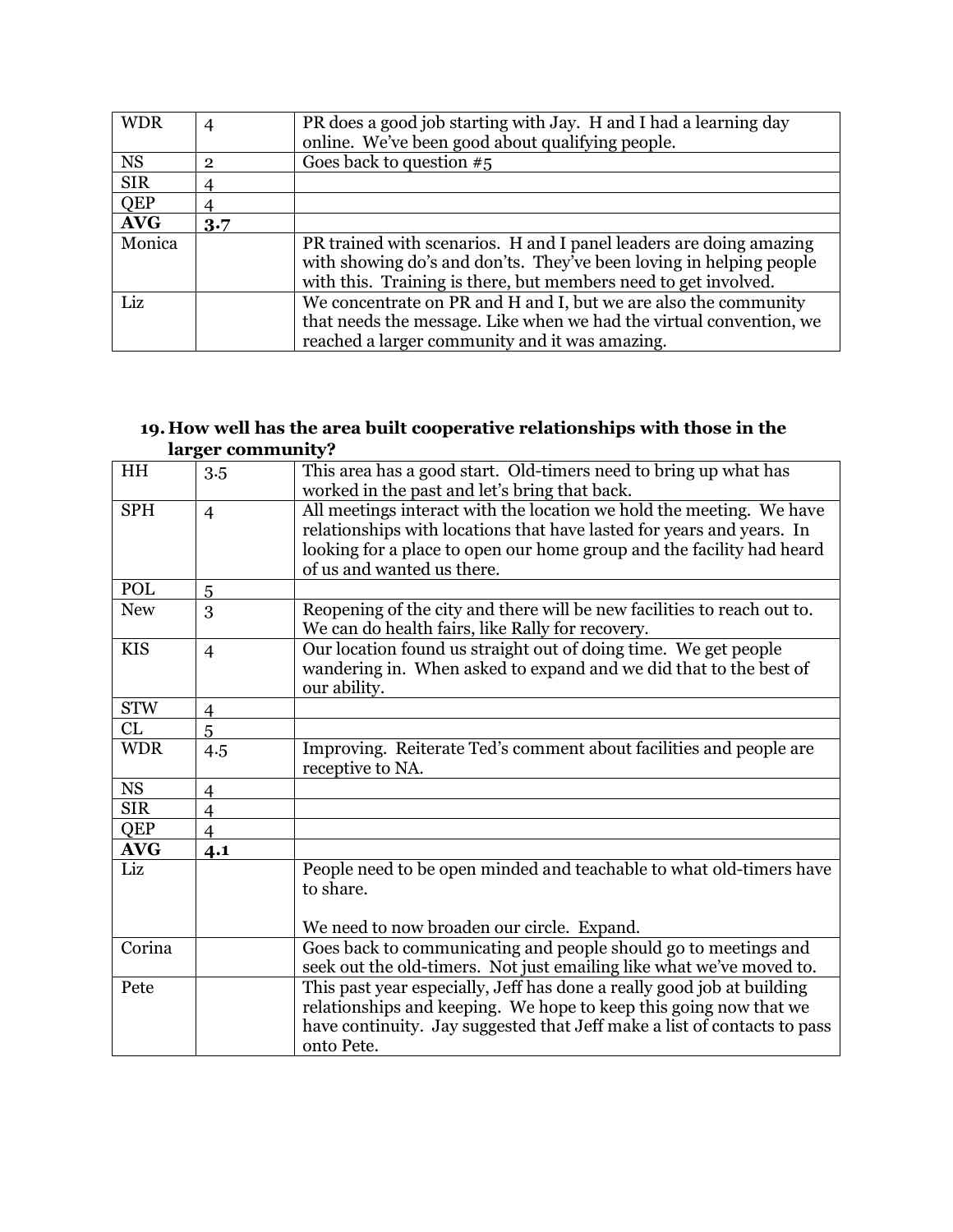| <b>WDR</b> |              | PR does a good job starting with Jay. H and I had a learning day    |
|------------|--------------|---------------------------------------------------------------------|
|            |              | online. We've been good about qualifying people.                    |
| <b>NS</b>  | $\mathbf{2}$ | Goes back to question $#5$                                          |
| <b>SIR</b> |              |                                                                     |
| QEP        |              |                                                                     |
| <b>AVG</b> | 3.7          |                                                                     |
| Monica     |              | PR trained with scenarios. H and I panel leaders are doing amazing  |
|            |              | with showing do's and don'ts. They've been loving in helping people |
|            |              | with this. Training is there, but members need to get involved.     |
| Liz        |              | We concentrate on PR and H and I, but we are also the community     |
|            |              | that needs the message. Like when we had the virtual convention, we |
|            |              | reached a larger community and it was amazing.                      |

#### **19. How well has the area built cooperative relationships with those in the larger community?**

| HH         | 3.5            | This area has a good start. Old-timers need to bring up what has<br>worked in the past and let's bring that back. |
|------------|----------------|-------------------------------------------------------------------------------------------------------------------|
| <b>SPH</b> | $\overline{4}$ | All meetings interact with the location we hold the meeting. We have                                              |
|            |                | relationships with locations that have lasted for years and years. In                                             |
|            |                | looking for a place to open our home group and the facility had heard                                             |
|            |                | of us and wanted us there.                                                                                        |
| POL        | 5              |                                                                                                                   |
| <b>New</b> |                | Reopening of the city and there will be new facilities to reach out to.                                           |
|            | 3              | We can do health fairs, like Rally for recovery.                                                                  |
| <b>KIS</b> | $\overline{4}$ | Our location found us straight out of doing time. We get people                                                   |
|            |                | wandering in. When asked to expand and we did that to the best of                                                 |
|            |                | our ability.                                                                                                      |
| <b>STW</b> | $\overline{4}$ |                                                                                                                   |
| CL         | 5              |                                                                                                                   |
| <b>WDR</b> | 4.5            | Improving. Reiterate Ted's comment about facilities and people are                                                |
|            |                | receptive to NA.                                                                                                  |
|            |                |                                                                                                                   |
| <b>NS</b>  | $\overline{4}$ |                                                                                                                   |
| <b>SIR</b> | $\overline{4}$ |                                                                                                                   |
| <b>QEP</b> | $\overline{4}$ |                                                                                                                   |
| <b>AVG</b> | 4.1            |                                                                                                                   |
| Liz        |                | People need to be open minded and teachable to what old-timers have                                               |
|            |                | to share.                                                                                                         |
|            |                |                                                                                                                   |
|            |                | We need to now broaden our circle. Expand.                                                                        |
| Corina     |                | Goes back to communicating and people should go to meetings and                                                   |
|            |                | seek out the old-timers. Not just emailing like what we've moved to.                                              |
| Pete       |                | This past year especially, Jeff has done a really good job at building                                            |
|            |                | relationships and keeping. We hope to keep this going now that we                                                 |
|            |                | have continuity. Jay suggested that Jeff make a list of contacts to pass                                          |
|            |                | onto Pete.                                                                                                        |
|            |                |                                                                                                                   |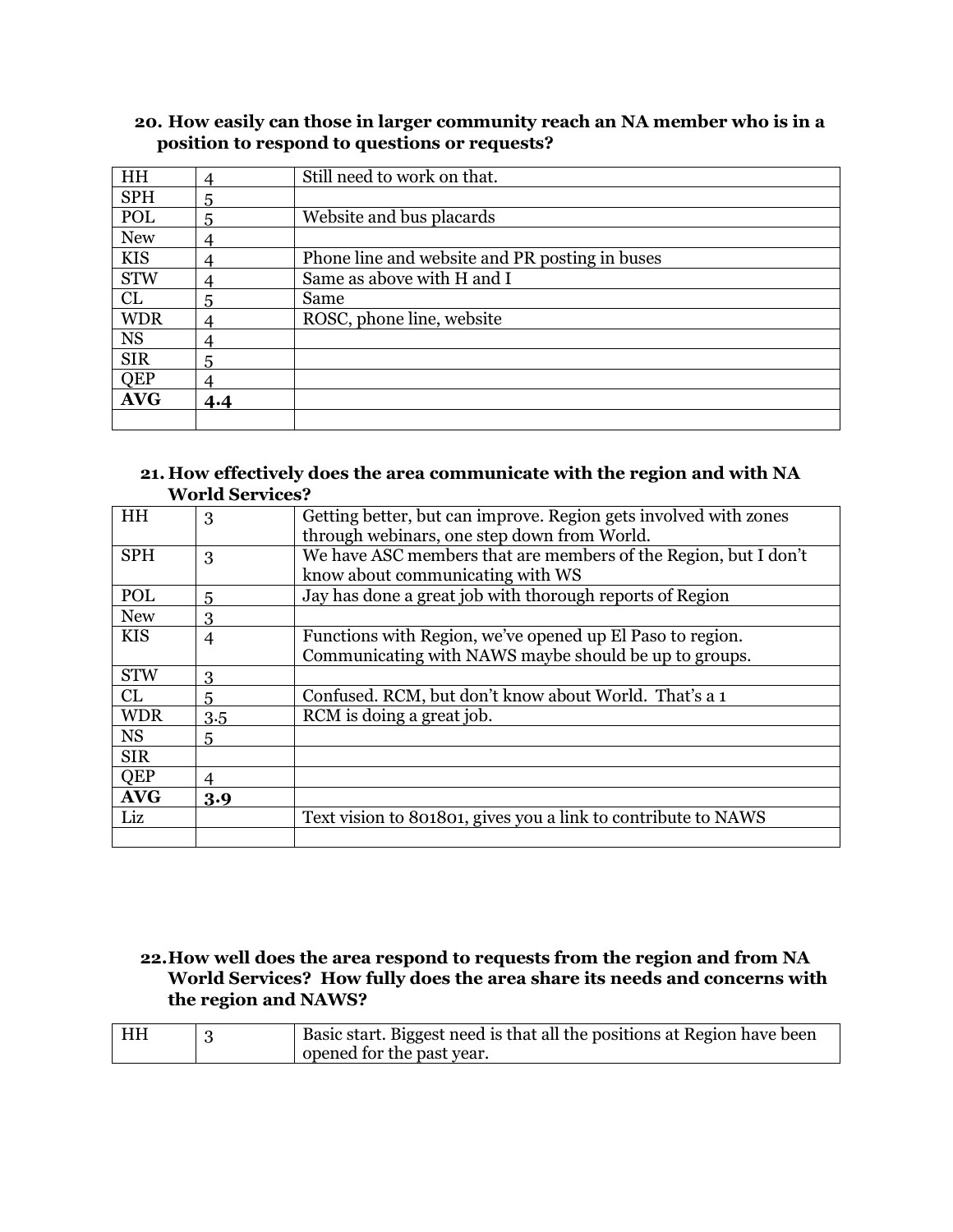| HH         |     | Still need to work on that.                    |
|------------|-----|------------------------------------------------|
| <b>SPH</b> | 5   |                                                |
| POL        | 5   | Website and bus placards                       |
| <b>New</b> |     |                                                |
| <b>KIS</b> |     | Phone line and website and PR posting in buses |
| <b>STW</b> |     | Same as above with H and I                     |
| CL         | 5   | Same                                           |
| <b>WDR</b> |     | ROSC, phone line, website                      |
| <b>NS</b>  |     |                                                |
| <b>SIR</b> | 5   |                                                |
| QEP        |     |                                                |
| <b>AVG</b> | 4.4 |                                                |
|            |     |                                                |

## **20. How easily can those in larger community reach an NA member who is in a position to respond to questions or requests?**

#### **21. How effectively does the area communicate with the region and with NA World Services?**

| HH         | 3              | Getting better, but can improve. Region gets involved with zones |
|------------|----------------|------------------------------------------------------------------|
|            |                | through webinars, one step down from World.                      |
| <b>SPH</b> | 3              | We have ASC members that are members of the Region, but I don't  |
|            |                | know about communicating with WS                                 |
|            |                |                                                                  |
| POL        | 5              | Jay has done a great job with thorough reports of Region         |
| <b>New</b> | 3              |                                                                  |
| <b>KIS</b> | $\overline{4}$ | Functions with Region, we've opened up El Paso to region.        |
|            |                | Communicating with NAWS maybe should be up to groups.            |
| <b>STW</b> | 3              |                                                                  |
| CL         | 5              | Confused. RCM, but don't know about World. That's a 1            |
| <b>WDR</b> | 3.5            | RCM is doing a great job.                                        |
| <b>NS</b>  | 5              |                                                                  |
| <b>SIR</b> |                |                                                                  |
| <b>QEP</b> | 4              |                                                                  |
| <b>AVG</b> | 3.9            |                                                                  |
| Liz        |                | Text vision to 801801, gives you a link to contribute to NAWS    |
|            |                |                                                                  |

#### **22.How well does the area respond to requests from the region and from NA World Services? How fully does the area share its needs and concerns with the region and NAWS?**

| HH | Basic start. Biggest need is that all the positions at Region have been |
|----|-------------------------------------------------------------------------|
|    | opened for the past year.                                               |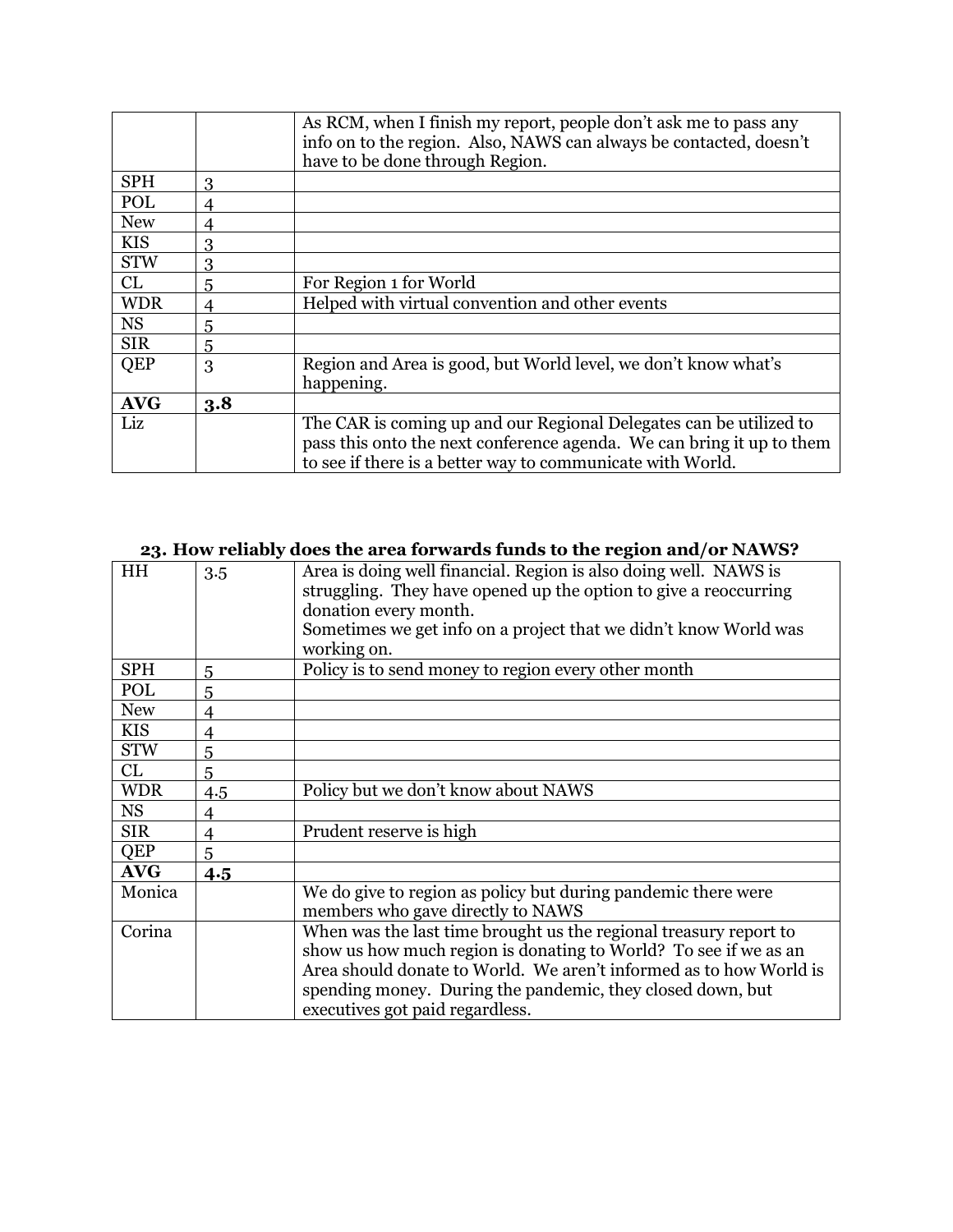|            |     | As RCM, when I finish my report, people don't ask me to pass any      |
|------------|-----|-----------------------------------------------------------------------|
|            |     | info on to the region. Also, NAWS can always be contacted, doesn't    |
|            |     | have to be done through Region.                                       |
| <b>SPH</b> | 3   |                                                                       |
| POL        | 4   |                                                                       |
| <b>New</b> | 4   |                                                                       |
| <b>KIS</b> | 3   |                                                                       |
| <b>STW</b> | 3   |                                                                       |
| CL         | 5   | For Region 1 for World                                                |
| <b>WDR</b> | 4   | Helped with virtual convention and other events                       |
| <b>NS</b>  | 5   |                                                                       |
| <b>SIR</b> | 5   |                                                                       |
| QEP        | 3   | Region and Area is good, but World level, we don't know what's        |
|            |     | happening.                                                            |
| <b>AVG</b> | 3.8 |                                                                       |
| Liz        |     | The CAR is coming up and our Regional Delegates can be utilized to    |
|            |     | pass this onto the next conference agenda. We can bring it up to them |
|            |     | to see if there is a better way to communicate with World.            |

|            |                | abes the area for wards funds to the region and/or further                                                                                                                                                                                                                                                   |
|------------|----------------|--------------------------------------------------------------------------------------------------------------------------------------------------------------------------------------------------------------------------------------------------------------------------------------------------------------|
| HH         | 3.5            | Area is doing well financial. Region is also doing well. NAWS is<br>struggling. They have opened up the option to give a reoccurring<br>donation every month.<br>Sometimes we get info on a project that we didn't know World was<br>working on.                                                             |
| <b>SPH</b> | 5              | Policy is to send money to region every other month                                                                                                                                                                                                                                                          |
| POL        | 5              |                                                                                                                                                                                                                                                                                                              |
| <b>New</b> | 4              |                                                                                                                                                                                                                                                                                                              |
| <b>KIS</b> | 4              |                                                                                                                                                                                                                                                                                                              |
| <b>STW</b> | 5              |                                                                                                                                                                                                                                                                                                              |
| CL         | 5              |                                                                                                                                                                                                                                                                                                              |
| <b>WDR</b> | 4.5            | Policy but we don't know about NAWS                                                                                                                                                                                                                                                                          |
| <b>NS</b>  | 4              |                                                                                                                                                                                                                                                                                                              |
| <b>SIR</b> | $\overline{4}$ | Prudent reserve is high                                                                                                                                                                                                                                                                                      |
| <b>QEP</b> | 5              |                                                                                                                                                                                                                                                                                                              |
| <b>AVG</b> | 4.5            |                                                                                                                                                                                                                                                                                                              |
| Monica     |                | We do give to region as policy but during pandemic there were<br>members who gave directly to NAWS                                                                                                                                                                                                           |
| Corina     |                | When was the last time brought us the regional treasury report to<br>show us how much region is donating to World? To see if we as an<br>Area should donate to World. We aren't informed as to how World is<br>spending money. During the pandemic, they closed down, but<br>executives got paid regardless. |

#### **23. How reliably does the area forwards funds to the region and/or NAWS?**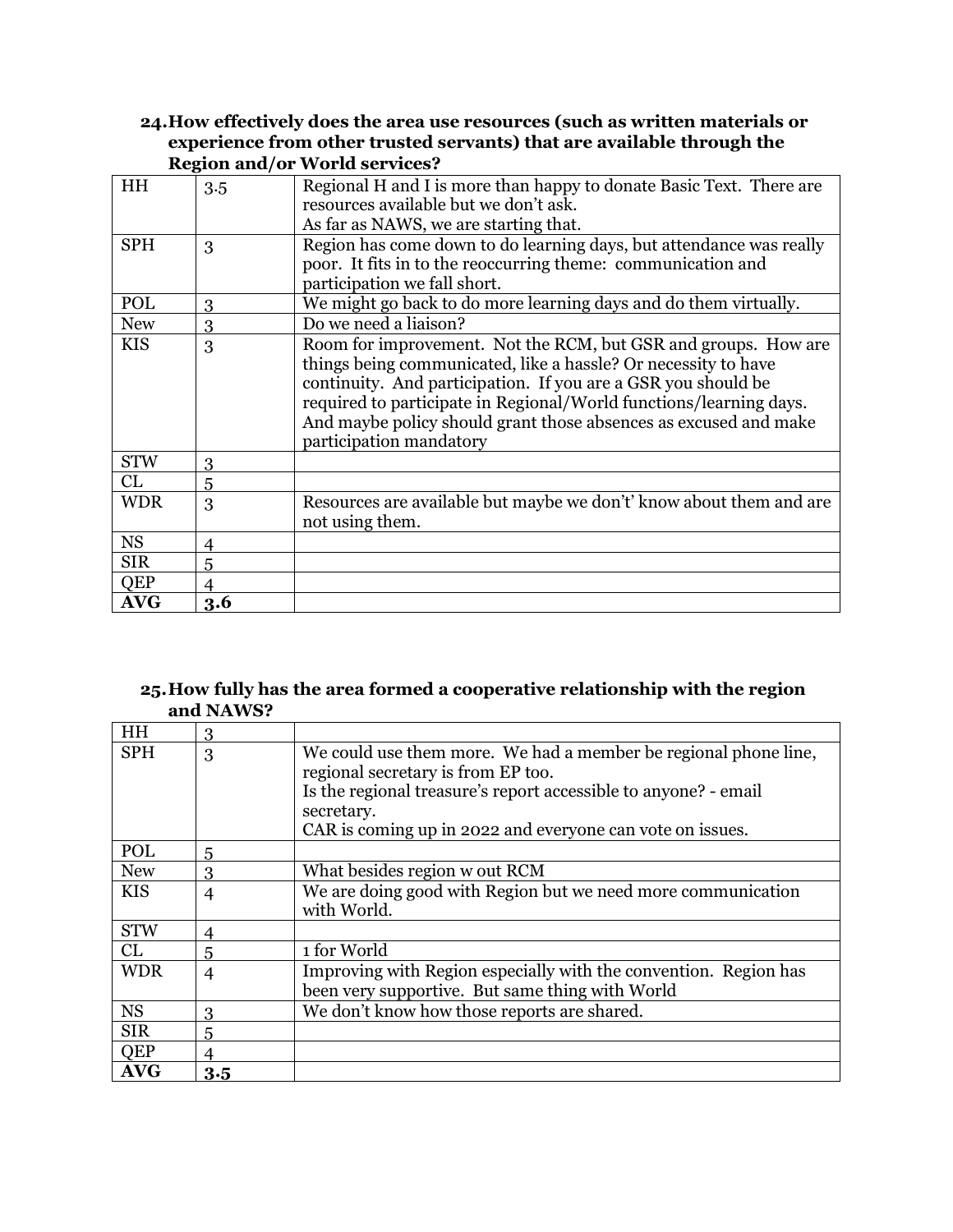#### **24.How effectively does the area use resources (such as written materials or experience from other trusted servants) that are available through the Region and/or World services?**

| HH         | 3.5            | Regional H and I is more than happy to donate Basic Text. There are<br>resources available but we don't ask.                                                                                                                                                                                                                                                           |
|------------|----------------|------------------------------------------------------------------------------------------------------------------------------------------------------------------------------------------------------------------------------------------------------------------------------------------------------------------------------------------------------------------------|
|            |                | As far as NAWS, we are starting that.                                                                                                                                                                                                                                                                                                                                  |
| <b>SPH</b> | 3              | Region has come down to do learning days, but attendance was really                                                                                                                                                                                                                                                                                                    |
|            |                | poor. It fits in to the reoccurring theme: communication and<br>participation we fall short.                                                                                                                                                                                                                                                                           |
|            |                |                                                                                                                                                                                                                                                                                                                                                                        |
| POL        | 3              | We might go back to do more learning days and do them virtually.                                                                                                                                                                                                                                                                                                       |
| <b>New</b> | 3              | Do we need a liaison?                                                                                                                                                                                                                                                                                                                                                  |
| <b>KIS</b> | 3              | Room for improvement. Not the RCM, but GSR and groups. How are<br>things being communicated, like a hassle? Or necessity to have<br>continuity. And participation. If you are a GSR you should be<br>required to participate in Regional/World functions/learning days.<br>And maybe policy should grant those absences as excused and make<br>participation mandatory |
| <b>STW</b> | 3              |                                                                                                                                                                                                                                                                                                                                                                        |
| CL         | 5              |                                                                                                                                                                                                                                                                                                                                                                        |
| <b>WDR</b> | 3              | Resources are available but maybe we don't' know about them and are<br>not using them.                                                                                                                                                                                                                                                                                 |
| <b>NS</b>  | $\overline{4}$ |                                                                                                                                                                                                                                                                                                                                                                        |
| <b>SIR</b> | 5              |                                                                                                                                                                                                                                                                                                                                                                        |
| QEP        | $\overline{4}$ |                                                                                                                                                                                                                                                                                                                                                                        |
| <b>AVG</b> | 3.6            |                                                                                                                                                                                                                                                                                                                                                                        |

#### **25.How fully has the area formed a cooperative relationship with the region and NAWS?**

| <b>HH</b>  | 3              |                                                                  |
|------------|----------------|------------------------------------------------------------------|
| <b>SPH</b> | 3              | We could use them more. We had a member be regional phone line,  |
|            |                | regional secretary is from EP too.                               |
|            |                | Is the regional treasure's report accessible to anyone? - email  |
|            |                | secretary.                                                       |
|            |                | CAR is coming up in 2022 and everyone can vote on issues.        |
| POL        | 5              |                                                                  |
| <b>New</b> | 3              | What besides region w out RCM                                    |
| <b>KIS</b> | $\overline{4}$ | We are doing good with Region but we need more communication     |
|            |                | with World.                                                      |
| <b>STW</b> | 4              |                                                                  |
| CL         | 5              | 1 for World                                                      |
| <b>WDR</b> | $\overline{4}$ | Improving with Region especially with the convention. Region has |
|            |                | been very supportive. But same thing with World                  |
| <b>NS</b>  | 3              | We don't know how those reports are shared.                      |
| <b>SIR</b> | 5              |                                                                  |
| QEP        | 4              |                                                                  |
| <b>AVG</b> | 3.5            |                                                                  |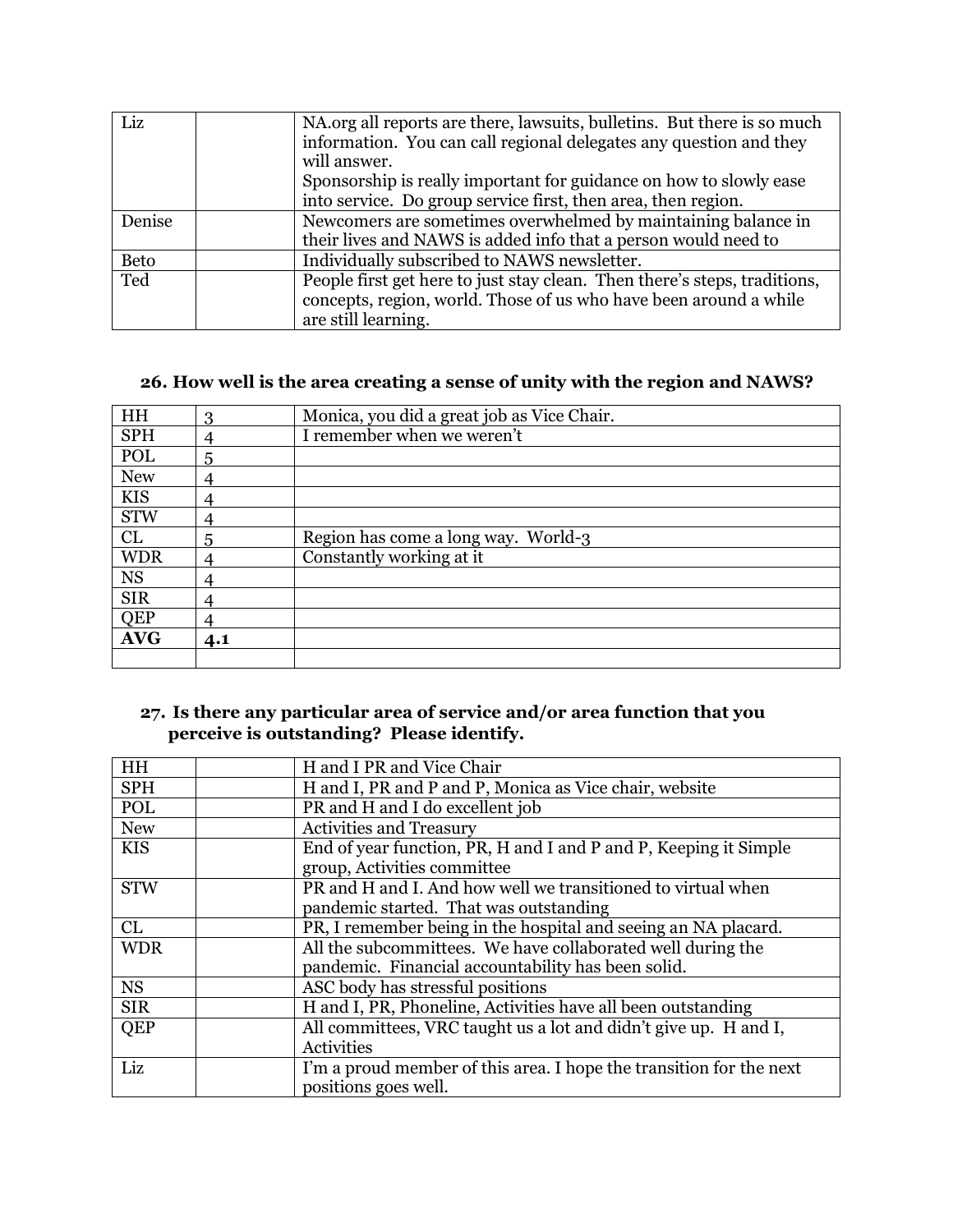| Liz         | NA.org all reports are there, lawsuits, bulletins. But there is so much<br>information. You can call regional delegates any question and they<br>will answer.         |
|-------------|-----------------------------------------------------------------------------------------------------------------------------------------------------------------------|
|             | Sponsorship is really important for guidance on how to slowly ease<br>into service. Do group service first, then area, then region.                                   |
| Denise      | Newcomers are sometimes overwhelmed by maintaining balance in<br>their lives and NAWS is added info that a person would need to                                       |
| <b>Beto</b> | Individually subscribed to NAWS newsletter.                                                                                                                           |
| Ted         | People first get here to just stay clean. Then there's steps, traditions,<br>concepts, region, world. Those of us who have been around a while<br>are still learning. |

# **26. How well is the area creating a sense of unity with the region and NAWS?**

| HH         | 3   | Monica, you did a great job as Vice Chair. |
|------------|-----|--------------------------------------------|
| <b>SPH</b> |     | I remember when we weren't                 |
| POL        | 5   |                                            |
| <b>New</b> |     |                                            |
| <b>KIS</b> |     |                                            |
| <b>STW</b> | 4   |                                            |
| CL         | 5   | Region has come a long way. World-3        |
| <b>WDR</b> | 4   | Constantly working at it                   |
| <b>NS</b>  | 4   |                                            |
| <b>SIR</b> |     |                                            |
| <b>QEP</b> |     |                                            |
| <b>AVG</b> | 4.1 |                                            |
|            |     |                                            |

## **27. Is there any particular area of service and/or area function that you perceive is outstanding? Please identify.**

| HH         | H and I PR and Vice Chair                                           |
|------------|---------------------------------------------------------------------|
| <b>SPH</b> | H and I, PR and P and P, Monica as Vice chair, website              |
| POL        | PR and H and I do excellent job                                     |
| <b>New</b> | <b>Activities and Treasury</b>                                      |
| <b>KIS</b> | End of year function, PR, H and I and P and P, Keeping it Simple    |
|            | group, Activities committee                                         |
| <b>STW</b> | PR and H and I. And how well we transitioned to virtual when        |
|            | pandemic started. That was outstanding                              |
| CL         | PR, I remember being in the hospital and seeing an NA placard.      |
| <b>WDR</b> | All the subcommittees. We have collaborated well during the         |
|            | pandemic. Financial accountability has been solid.                  |
| <b>NS</b>  | ASC body has stressful positions                                    |
| <b>SIR</b> | H and I, PR, Phoneline, Activities have all been outstanding        |
| QEP        | All committees, VRC taught us a lot and didn't give up. H and I,    |
|            | <b>Activities</b>                                                   |
| Liz        | I'm a proud member of this area. I hope the transition for the next |
|            | positions goes well.                                                |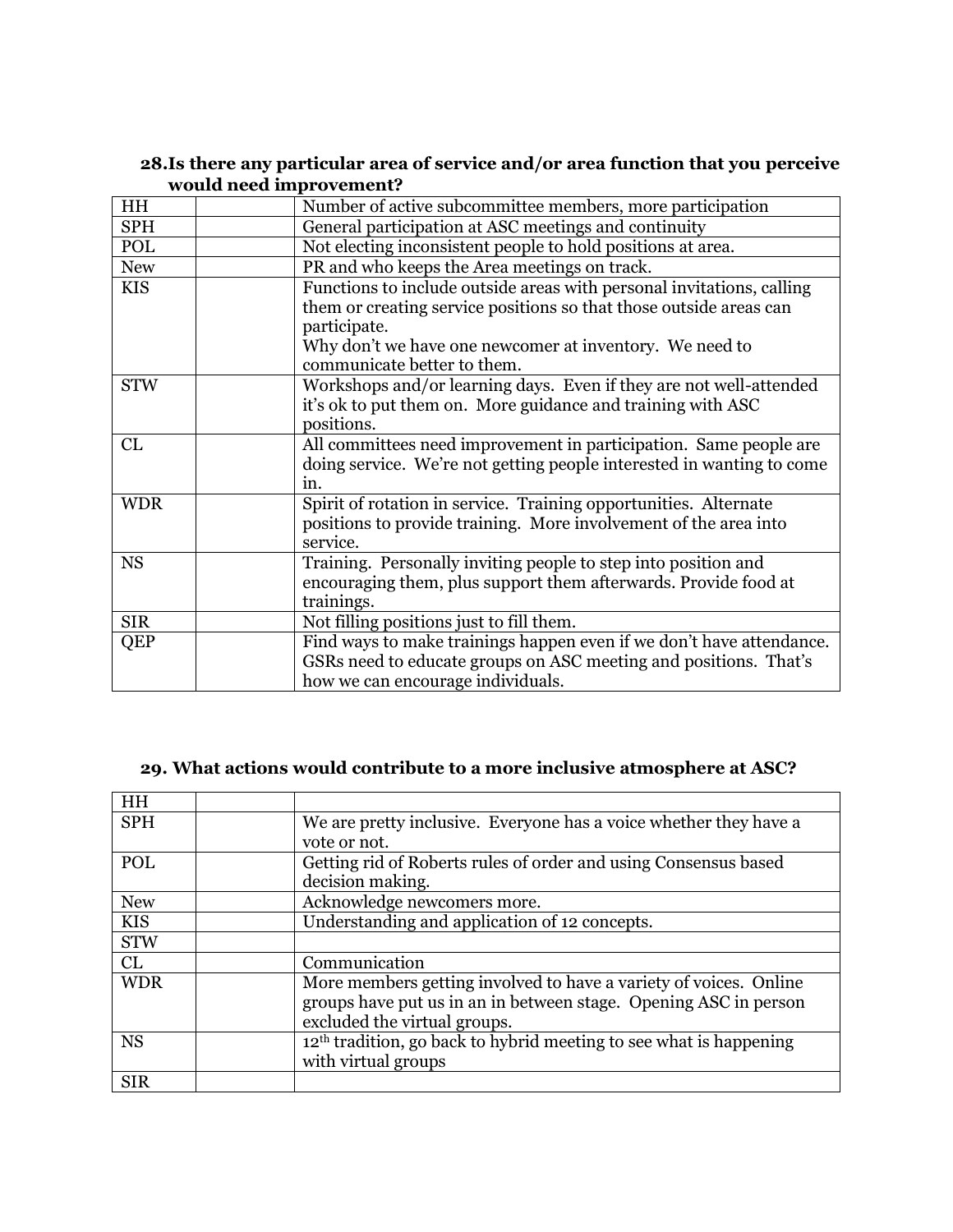| HH         | Number of active subcommittee members, more participation                                                                                                                     |
|------------|-------------------------------------------------------------------------------------------------------------------------------------------------------------------------------|
| <b>SPH</b> | General participation at ASC meetings and continuity                                                                                                                          |
| POL        | Not electing inconsistent people to hold positions at area.                                                                                                                   |
| <b>New</b> | PR and who keeps the Area meetings on track.                                                                                                                                  |
| <b>KIS</b> | Functions to include outside areas with personal invitations, calling<br>them or creating service positions so that those outside areas can                                   |
|            | participate.<br>Why don't we have one newcomer at inventory. We need to<br>communicate better to them.                                                                        |
| <b>STW</b> | Workshops and/or learning days. Even if they are not well-attended<br>it's ok to put them on. More guidance and training with ASC<br>positions.                               |
| CL         | All committees need improvement in participation. Same people are<br>doing service. We're not getting people interested in wanting to come<br>in.                             |
| <b>WDR</b> | Spirit of rotation in service. Training opportunities. Alternate<br>positions to provide training. More involvement of the area into<br>service.                              |
| <b>NS</b>  | Training. Personally inviting people to step into position and<br>encouraging them, plus support them afterwards. Provide food at<br>trainings.                               |
| <b>SIR</b> | Not filling positions just to fill them.                                                                                                                                      |
| <b>QEP</b> | Find ways to make trainings happen even if we don't have attendance.<br>GSRs need to educate groups on ASC meeting and positions. That's<br>how we can encourage individuals. |

#### **28.Is there any particular area of service and/or area function that you perceive would need improvement?**

## **29. What actions would contribute to a more inclusive atmosphere at ASC?**

| HH         |                                                                      |
|------------|----------------------------------------------------------------------|
| <b>SPH</b> | We are pretty inclusive. Everyone has a voice whether they have a    |
|            | vote or not.                                                         |
| POL        | Getting rid of Roberts rules of order and using Consensus based      |
|            | decision making.                                                     |
| <b>New</b> | Acknowledge newcomers more.                                          |
| <b>KIS</b> | Understanding and application of 12 concepts.                        |
| <b>STW</b> |                                                                      |
| CL         | Communication                                                        |
| <b>WDR</b> | More members getting involved to have a variety of voices. Online    |
|            | groups have put us in an in between stage. Opening ASC in person     |
|            | excluded the virtual groups.                                         |
| <b>NS</b>  | $12th$ tradition, go back to hybrid meeting to see what is happening |
|            | with virtual groups                                                  |
| <b>SIR</b> |                                                                      |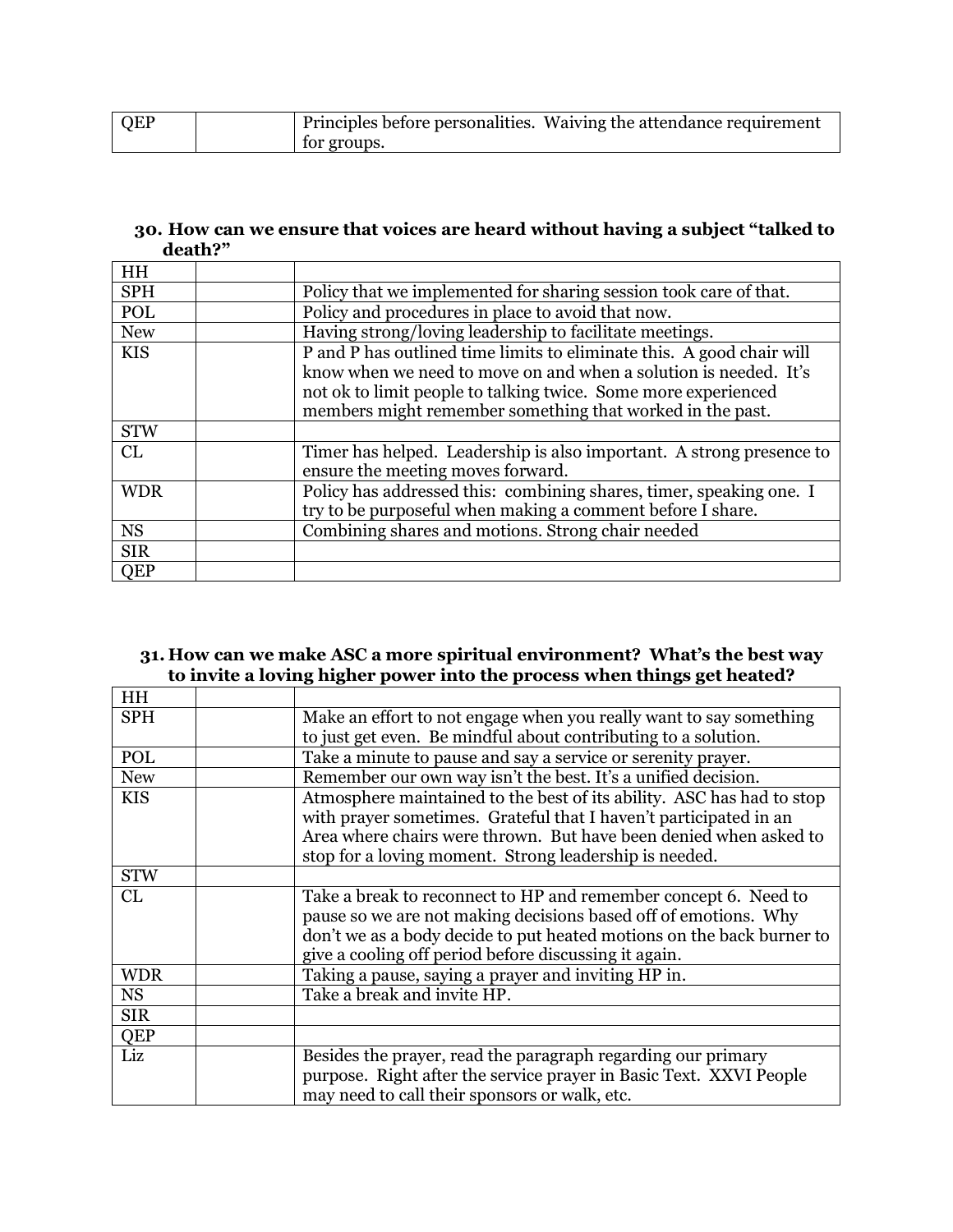| QEP |             | Principles before personalities. Waiving the attendance requirement |
|-----|-------------|---------------------------------------------------------------------|
|     | for groups. |                                                                     |

#### **30. How can we ensure that voices are heard without having a subject "talked to death?"**

| HH         |                                                                                                                                                                                                                                                                          |
|------------|--------------------------------------------------------------------------------------------------------------------------------------------------------------------------------------------------------------------------------------------------------------------------|
| <b>SPH</b> | Policy that we implemented for sharing session took care of that.                                                                                                                                                                                                        |
| <b>POL</b> | Policy and procedures in place to avoid that now.                                                                                                                                                                                                                        |
| <b>New</b> | Having strong/loving leadership to facilitate meetings.                                                                                                                                                                                                                  |
| <b>KIS</b> | P and P has outlined time limits to eliminate this. A good chair will<br>know when we need to move on and when a solution is needed. It's<br>not ok to limit people to talking twice. Some more experienced<br>members might remember something that worked in the past. |
| <b>STW</b> |                                                                                                                                                                                                                                                                          |
| CL         | Timer has helped. Leadership is also important. A strong presence to<br>ensure the meeting moves forward.                                                                                                                                                                |
| <b>WDR</b> | Policy has addressed this: combining shares, timer, speaking one. I<br>try to be purposeful when making a comment before I share.                                                                                                                                        |
| <b>NS</b>  | Combining shares and motions. Strong chair needed                                                                                                                                                                                                                        |
| <b>SIR</b> |                                                                                                                                                                                                                                                                          |
| QEP        |                                                                                                                                                                                                                                                                          |

#### **31. How can we make ASC a more spiritual environment? What's the best way to invite a loving higher power into the process when things get heated?**

| Make an effort to not engage when you really want to say something                                                                                                                                                                                                        |
|---------------------------------------------------------------------------------------------------------------------------------------------------------------------------------------------------------------------------------------------------------------------------|
| to just get even. Be mindful about contributing to a solution.                                                                                                                                                                                                            |
| Take a minute to pause and say a service or serenity prayer.                                                                                                                                                                                                              |
| Remember our own way isn't the best. It's a unified decision.                                                                                                                                                                                                             |
| Atmosphere maintained to the best of its ability. ASC has had to stop<br>with prayer sometimes. Grateful that I haven't participated in an<br>Area where chairs were thrown. But have been denied when asked to<br>stop for a loving moment. Strong leadership is needed. |
|                                                                                                                                                                                                                                                                           |
| Take a break to reconnect to HP and remember concept 6. Need to<br>pause so we are not making decisions based off of emotions. Why<br>don't we as a body decide to put heated motions on the back burner to<br>give a cooling off period before discussing it again.      |
| Taking a pause, saying a prayer and inviting HP in.                                                                                                                                                                                                                       |
| Take a break and invite HP.                                                                                                                                                                                                                                               |
|                                                                                                                                                                                                                                                                           |
|                                                                                                                                                                                                                                                                           |
| Besides the prayer, read the paragraph regarding our primary<br>purpose. Right after the service prayer in Basic Text. XXVI People<br>may need to call their sponsors or walk, etc.                                                                                       |
|                                                                                                                                                                                                                                                                           |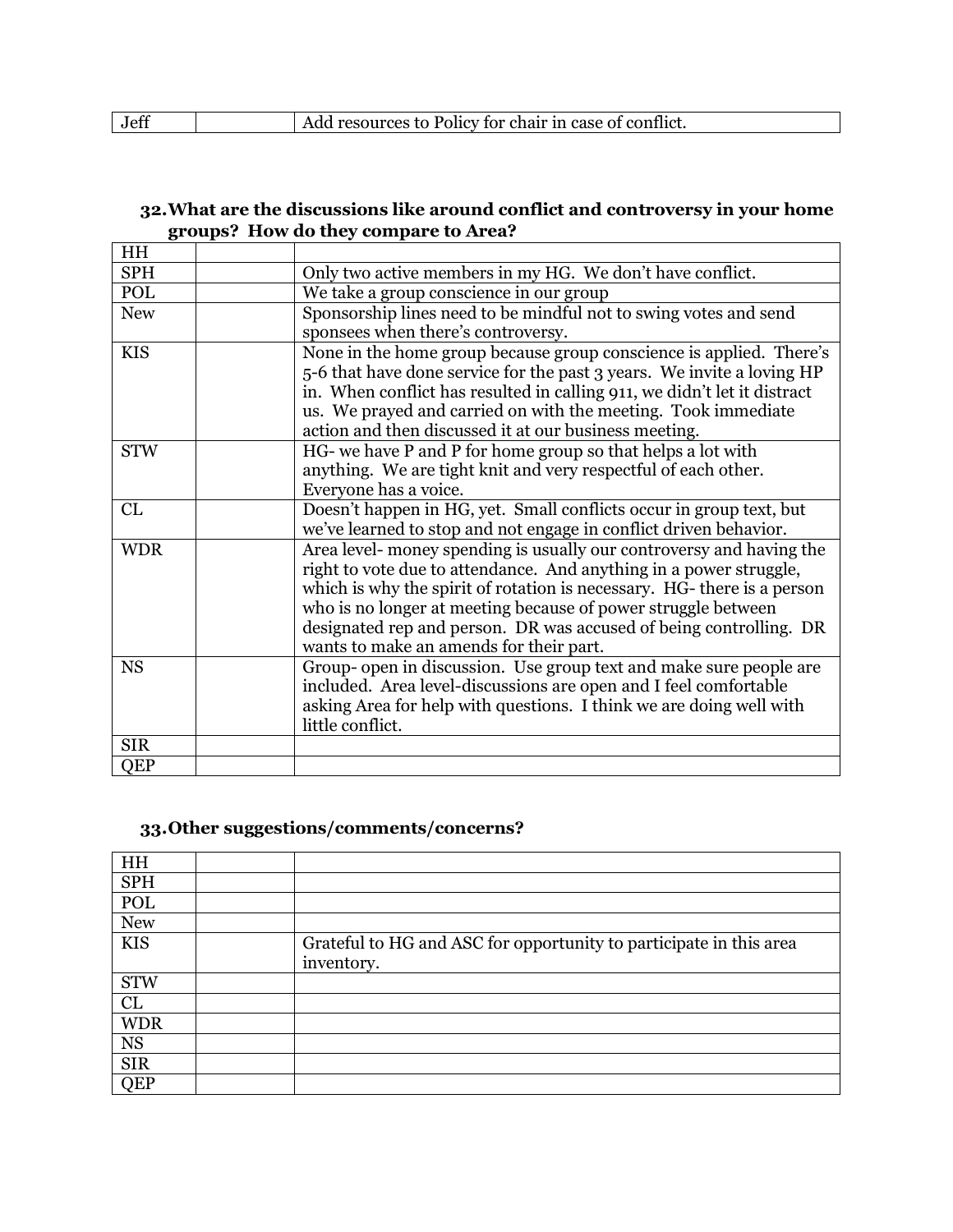|  | Jet |  | resources to Policy for chair in case of conflict. |  |
|--|-----|--|----------------------------------------------------|--|
|--|-----|--|----------------------------------------------------|--|

## **32.What are the discussions like around conflict and controversy in your home groups? How do they compare to Area?**

| <b>HH</b>  |                                                                          |
|------------|--------------------------------------------------------------------------|
| <b>SPH</b> | Only two active members in my HG. We don't have conflict.                |
| POL        | We take a group conscience in our group                                  |
| <b>New</b> | Sponsorship lines need to be mindful not to swing votes and send         |
|            | sponsees when there's controversy.                                       |
| <b>KIS</b> | None in the home group because group conscience is applied. There's      |
|            | 5-6 that have done service for the past 3 years. We invite a loving HP   |
|            | in. When conflict has resulted in calling 911, we didn't let it distract |
|            | us. We prayed and carried on with the meeting. Took immediate            |
|            | action and then discussed it at our business meeting.                    |
| <b>STW</b> | HG- we have P and P for home group so that helps a lot with              |
|            | anything. We are tight knit and very respectful of each other.           |
|            | Everyone has a voice.                                                    |
| CL         | Doesn't happen in HG, yet. Small conflicts occur in group text, but      |
|            | we've learned to stop and not engage in conflict driven behavior.        |
| <b>WDR</b> | Area level- money spending is usually our controversy and having the     |
|            | right to vote due to attendance. And anything in a power struggle,       |
|            | which is why the spirit of rotation is necessary. HG-there is a person   |
|            | who is no longer at meeting because of power struggle between            |
|            | designated rep and person. DR was accused of being controlling. DR       |
|            | wants to make an amends for their part.                                  |
| <b>NS</b>  | Group- open in discussion. Use group text and make sure people are       |
|            | included. Area level-discussions are open and I feel comfortable         |
|            | asking Area for help with questions. I think we are doing well with      |
|            | little conflict.                                                         |
| <b>SIR</b> |                                                                          |
| QEP        |                                                                          |

#### **33.Other suggestions/comments/concerns?**

| HH         |                                                                    |
|------------|--------------------------------------------------------------------|
| <b>SPH</b> |                                                                    |
| POL        |                                                                    |
| <b>New</b> |                                                                    |
| <b>KIS</b> | Grateful to HG and ASC for opportunity to participate in this area |
|            | inventory.                                                         |
| <b>STW</b> |                                                                    |
| CL         |                                                                    |
| <b>WDR</b> |                                                                    |
| <b>NS</b>  |                                                                    |
| <b>SIR</b> |                                                                    |
| <b>QEP</b> |                                                                    |